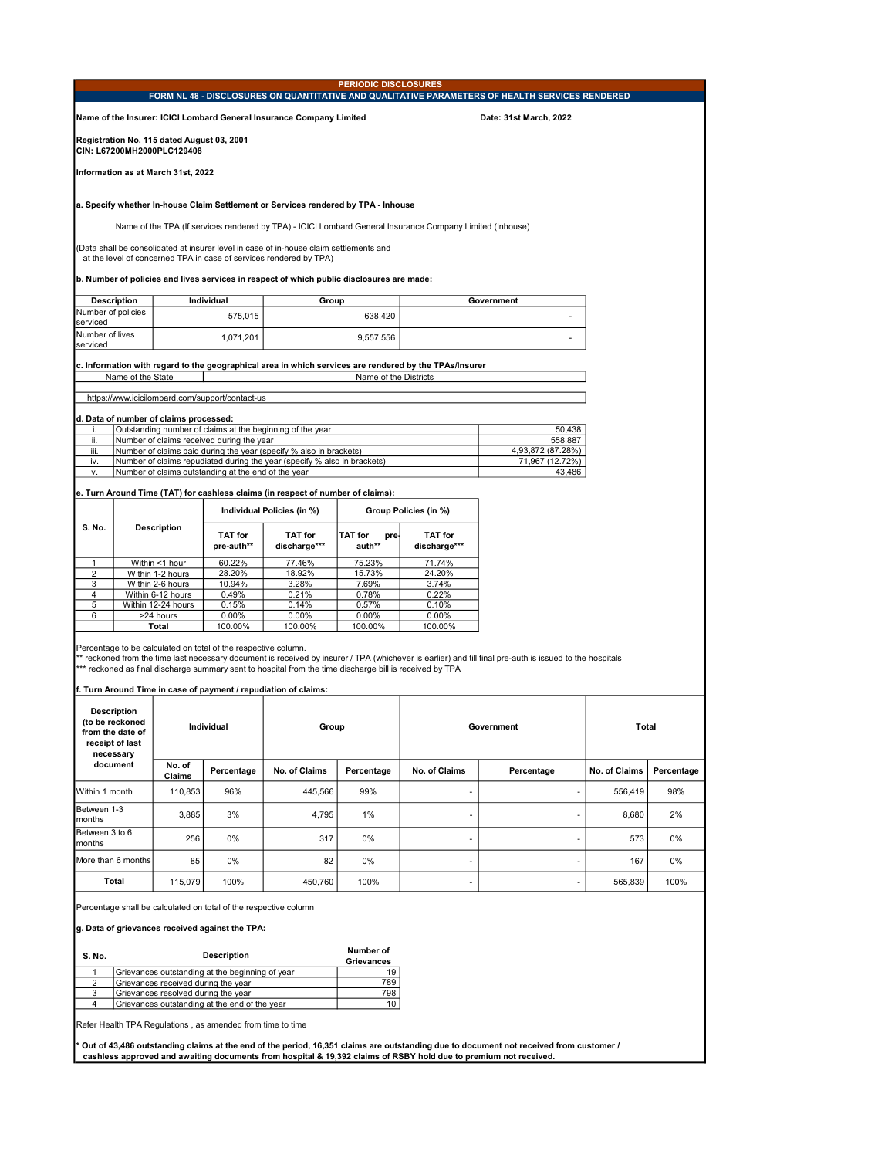| <b>PERIODIC DISCLOSURES</b><br>FORM NL 48 - DISCLOSURES ON QUANTITATIVE AND QUALITATIVE PARAMETERS OF HEALTH SERVICES RENDERED |                                                  |                                                                          |                                                                  |                                                                                                                                                                             |                                  |                                                                                                                  |                                                                                                                                                          |               |            |  |
|--------------------------------------------------------------------------------------------------------------------------------|--------------------------------------------------|--------------------------------------------------------------------------|------------------------------------------------------------------|-----------------------------------------------------------------------------------------------------------------------------------------------------------------------------|----------------------------------|------------------------------------------------------------------------------------------------------------------|----------------------------------------------------------------------------------------------------------------------------------------------------------|---------------|------------|--|
|                                                                                                                                |                                                  |                                                                          |                                                                  | Name of the Insurer: ICICI Lombard General Insurance Company Limited                                                                                                        |                                  |                                                                                                                  | Date: 31st March, 2022                                                                                                                                   |               |            |  |
|                                                                                                                                |                                                  | Registration No. 115 dated August 03, 2001<br>CIN: L67200MH2000PLC129408 |                                                                  |                                                                                                                                                                             |                                  |                                                                                                                  |                                                                                                                                                          |               |            |  |
|                                                                                                                                |                                                  | Information as at March 31st, 2022                                       |                                                                  |                                                                                                                                                                             |                                  |                                                                                                                  |                                                                                                                                                          |               |            |  |
|                                                                                                                                |                                                  |                                                                          |                                                                  | a. Specify whether In-house Claim Settlement or Services rendered by TPA - Inhouse                                                                                          |                                  |                                                                                                                  |                                                                                                                                                          |               |            |  |
|                                                                                                                                |                                                  |                                                                          |                                                                  |                                                                                                                                                                             |                                  | Name of the TPA (If services rendered by TPA) - ICICI Lombard General Insurance Company Limited (Inhouse)        |                                                                                                                                                          |               |            |  |
|                                                                                                                                |                                                  |                                                                          |                                                                  | (Data shall be consolidated at insurer level in case of in-house claim settlements and<br>at the level of concerned TPA in case of services rendered by TPA)                |                                  |                                                                                                                  |                                                                                                                                                          |               |            |  |
|                                                                                                                                |                                                  |                                                                          |                                                                  | b. Number of policies and lives services in respect of which public disclosures are made:                                                                                   |                                  |                                                                                                                  |                                                                                                                                                          |               |            |  |
|                                                                                                                                | <b>Description</b>                               |                                                                          | Individual                                                       | Group                                                                                                                                                                       |                                  |                                                                                                                  | Government                                                                                                                                               |               |            |  |
| Number of policies<br>serviced                                                                                                 |                                                  |                                                                          | 575,015                                                          |                                                                                                                                                                             | 638,420                          |                                                                                                                  | ÷.                                                                                                                                                       |               |            |  |
| Number of lives<br>1,071,201<br>9,557,556<br>serviced                                                                          |                                                  |                                                                          |                                                                  |                                                                                                                                                                             |                                  |                                                                                                                  |                                                                                                                                                          |               |            |  |
|                                                                                                                                | Name of the State                                |                                                                          |                                                                  |                                                                                                                                                                             | Name of the Districts            | c. Information with regard to the geographical area in which services are rendered by the TPAs/Insurer           |                                                                                                                                                          |               |            |  |
|                                                                                                                                |                                                  |                                                                          | https://www.icicilombard.com/support/contact-us                  |                                                                                                                                                                             |                                  |                                                                                                                  |                                                                                                                                                          |               |            |  |
|                                                                                                                                |                                                  | d. Data of number of claims processed:                                   |                                                                  |                                                                                                                                                                             |                                  |                                                                                                                  |                                                                                                                                                          |               |            |  |
|                                                                                                                                |                                                  |                                                                          | Number of claims received during the year                        | Outstanding number of claims at the beginning of the year                                                                                                                   |                                  |                                                                                                                  | 50,438                                                                                                                                                   |               |            |  |
| ii.<br>iii.                                                                                                                    |                                                  |                                                                          |                                                                  | Number of claims paid during the year (specify % also in brackets)                                                                                                          |                                  |                                                                                                                  | 558,887<br>4,93,872 (87.28%)                                                                                                                             |               |            |  |
| iv.<br>ν.                                                                                                                      |                                                  |                                                                          | Number of claims outstanding at the end of the year              | Number of claims repudiated during the year (specify % also in brackets)                                                                                                    |                                  |                                                                                                                  | 71,967 (12.72%)<br>43,486                                                                                                                                |               |            |  |
|                                                                                                                                |                                                  |                                                                          |                                                                  |                                                                                                                                                                             |                                  |                                                                                                                  |                                                                                                                                                          |               |            |  |
|                                                                                                                                |                                                  |                                                                          |                                                                  | e. Turn Around Time (TAT) for cashless claims (in respect of number of claims):<br>Individual Policies (in %)                                                               |                                  | Group Policies (in %)                                                                                            |                                                                                                                                                          |               |            |  |
| S. No.                                                                                                                         |                                                  | <b>Description</b>                                                       | TAT for<br>pre-auth**                                            | TAT for<br>discharge***                                                                                                                                                     | <b>TAT for</b><br>pre-<br>auth** | TAT for<br>discharge***                                                                                          |                                                                                                                                                          |               |            |  |
| 1                                                                                                                              |                                                  | Within <1 hour                                                           | 60.22%                                                           | 77.46%                                                                                                                                                                      | 75.23%                           | 71.74%                                                                                                           |                                                                                                                                                          |               |            |  |
| 2                                                                                                                              |                                                  | Within 1-2 hours                                                         | 28.20%                                                           | 18.92%                                                                                                                                                                      | 15.73%                           | 24.20%                                                                                                           |                                                                                                                                                          |               |            |  |
| 3<br>4                                                                                                                         |                                                  | Within 2-6 hours<br>Within 6-12 hours                                    | 10.94%<br>0.49%                                                  | 3.28%<br>0.21%                                                                                                                                                              | 7.69%<br>0.78%                   | 3.74%<br>0.22%                                                                                                   |                                                                                                                                                          |               |            |  |
| 5                                                                                                                              |                                                  | Within 12-24 hours                                                       | 0.15%                                                            | 0.14%                                                                                                                                                                       | 0.57%                            | 0.10%                                                                                                            |                                                                                                                                                          |               |            |  |
| 6                                                                                                                              |                                                  | >24 hours<br>Total                                                       | $0.00\%$<br>100.00%                                              | $0.00\%$<br>100.00%                                                                                                                                                         | 0.00%<br>100.00%                 | $0.00\%$<br>100.00%                                                                                              |                                                                                                                                                          |               |            |  |
|                                                                                                                                |                                                  |                                                                          | Percentage to be calculated on total of the respective column.   | *** reckoned as final discharge summary sent to hospital from the time discharge bill is received by TPA<br>f. Turn Around Time in case of payment / repudiation of claims: |                                  |                                                                                                                  | ** reckoned from the time last necessary document is received by insurer / TPA (whichever is earlier) and till final pre-auth is issued to the hospitals |               |            |  |
|                                                                                                                                | <b>Description</b><br>(to be reckoned            |                                                                          |                                                                  |                                                                                                                                                                             |                                  |                                                                                                                  |                                                                                                                                                          |               |            |  |
|                                                                                                                                | from the date of<br>receipt of last<br>necessary |                                                                          | Individual                                                       | Group                                                                                                                                                                       |                                  |                                                                                                                  | Government                                                                                                                                               | Total         |            |  |
|                                                                                                                                | document                                         | No. of<br>Claims                                                         | Percentage                                                       | No. of Claims                                                                                                                                                               | Percentage                       | No. of Claims                                                                                                    | Percentage                                                                                                                                               | No. of Claims | Percentage |  |
| Within 1 month                                                                                                                 |                                                  | 110,853                                                                  | 96%                                                              | 445,566                                                                                                                                                                     | 99%                              | ٠                                                                                                                | ٠                                                                                                                                                        | 556,419       | 98%        |  |
| Between 1-3<br>months                                                                                                          |                                                  | 3,885                                                                    | 3%                                                               | 4,795                                                                                                                                                                       | 1%                               |                                                                                                                  |                                                                                                                                                          | 8,680         | 2%         |  |
| Between 3 to 6<br>months                                                                                                       |                                                  | 256                                                                      | 0%                                                               | 317                                                                                                                                                                         | 0%                               |                                                                                                                  | $\overline{a}$                                                                                                                                           | 573           | 0%         |  |
| More than 6 months                                                                                                             |                                                  | 85                                                                       | 0%                                                               | 82                                                                                                                                                                          | 0%                               |                                                                                                                  | $\overline{a}$                                                                                                                                           | 167           | 0%         |  |
|                                                                                                                                | Total                                            | 115,079                                                                  | 100%                                                             | 450,760                                                                                                                                                                     | 100%                             | ٠                                                                                                                | $\overline{a}$                                                                                                                                           | 565,839       | 100%       |  |
|                                                                                                                                |                                                  |                                                                          | Percentage shall be calculated on total of the respective column |                                                                                                                                                                             |                                  |                                                                                                                  |                                                                                                                                                          |               |            |  |
|                                                                                                                                |                                                  |                                                                          | g. Data of grievances received against the TPA:                  |                                                                                                                                                                             |                                  |                                                                                                                  |                                                                                                                                                          |               |            |  |
| S. No.                                                                                                                         |                                                  |                                                                          | Description                                                      |                                                                                                                                                                             | Number of<br>Grievances          |                                                                                                                  |                                                                                                                                                          |               |            |  |
| 1<br>2                                                                                                                         |                                                  | Grievances received during the year                                      | Grievances outstanding at the beginning of year                  |                                                                                                                                                                             | 19<br>789                        |                                                                                                                  |                                                                                                                                                          |               |            |  |
| 3                                                                                                                              |                                                  | Grievances resolved during the year                                      |                                                                  |                                                                                                                                                                             | 798                              |                                                                                                                  |                                                                                                                                                          |               |            |  |
| 4                                                                                                                              |                                                  |                                                                          | Grievances outstanding at the end of the year                    |                                                                                                                                                                             | 10                               |                                                                                                                  |                                                                                                                                                          |               |            |  |
|                                                                                                                                |                                                  |                                                                          | Refer Health TPA Regulations, as amended from time to time       |                                                                                                                                                                             |                                  |                                                                                                                  |                                                                                                                                                          |               |            |  |
|                                                                                                                                |                                                  |                                                                          |                                                                  |                                                                                                                                                                             |                                  | cashless approved and awaiting documents from hospital & 19,392 claims of RSBY hold due to premium not received. | Out of 43,486 outstanding claims at the end of the period, 16,351 claims are outstanding due to document not received from customer /                    |               |            |  |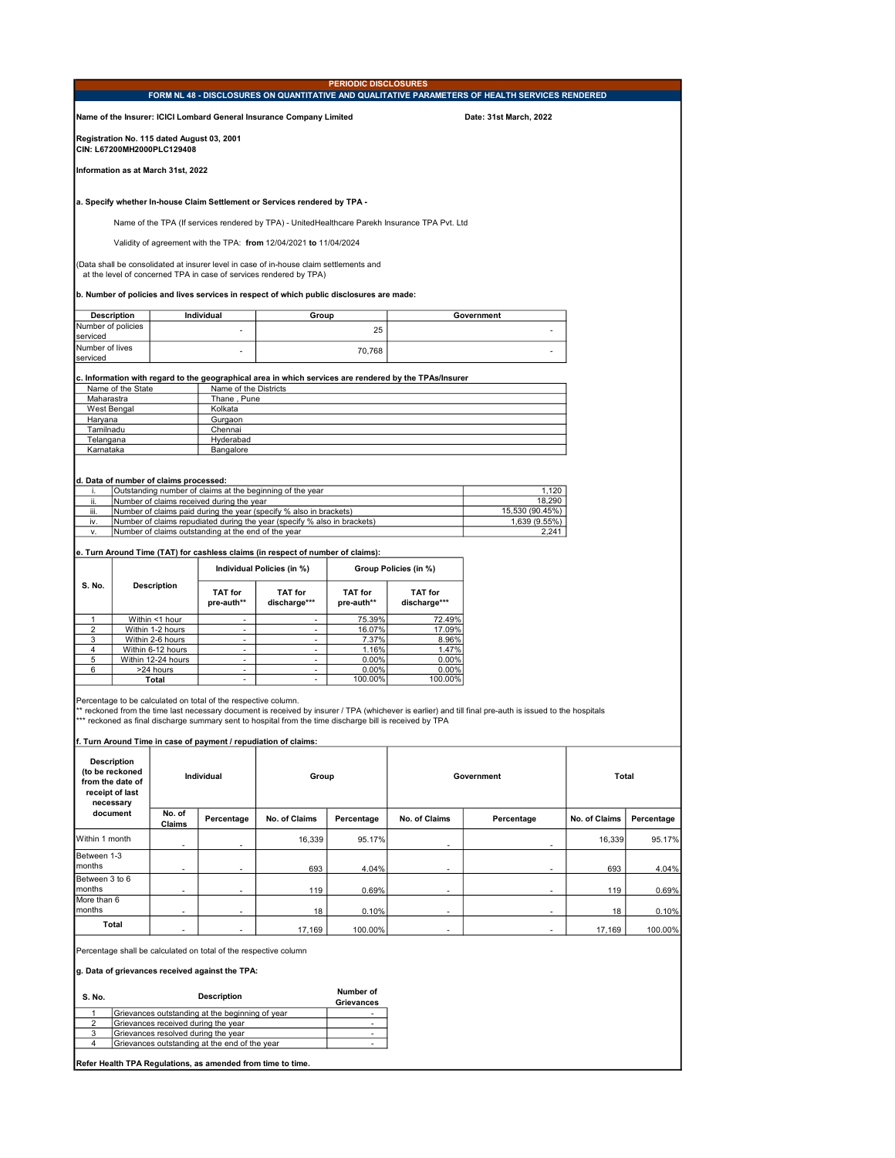|                               |                                                                                           |                                                                          |                                                                                                                     |                                                                                                                                                                             | <b>PERIODIC DISCLOSURES</b>                |                                                                                                        | FORM NL 48 - DISCLOSURES ON QUANTITATIVE AND QUALITATIVE PARAMETERS OF HEALTH SERVICES RENDERED                                                          |               |            |  |
|-------------------------------|-------------------------------------------------------------------------------------------|--------------------------------------------------------------------------|---------------------------------------------------------------------------------------------------------------------|-----------------------------------------------------------------------------------------------------------------------------------------------------------------------------|--------------------------------------------|--------------------------------------------------------------------------------------------------------|----------------------------------------------------------------------------------------------------------------------------------------------------------|---------------|------------|--|
|                               |                                                                                           |                                                                          |                                                                                                                     | Name of the Insurer: ICICI Lombard General Insurance Company Limited                                                                                                        |                                            |                                                                                                        | Date: 31st March, 2022                                                                                                                                   |               |            |  |
|                               |                                                                                           | Registration No. 115 dated August 03, 2001<br>CIN: L67200MH2000PLC129408 |                                                                                                                     |                                                                                                                                                                             |                                            |                                                                                                        |                                                                                                                                                          |               |            |  |
|                               |                                                                                           | Information as at March 31st, 2022                                       |                                                                                                                     |                                                                                                                                                                             |                                            |                                                                                                        |                                                                                                                                                          |               |            |  |
|                               |                                                                                           |                                                                          |                                                                                                                     | a. Specify whether In-house Claim Settlement or Services rendered by TPA -                                                                                                  |                                            |                                                                                                        |                                                                                                                                                          |               |            |  |
|                               |                                                                                           |                                                                          |                                                                                                                     |                                                                                                                                                                             |                                            | Name of the TPA (If services rendered by TPA) - UnitedHealthcare Parekh Insurance TPA Pvt. Ltd         |                                                                                                                                                          |               |            |  |
|                               |                                                                                           |                                                                          |                                                                                                                     | Validity of agreement with the TPA: from 12/04/2021 to 11/04/2024                                                                                                           |                                            |                                                                                                        |                                                                                                                                                          |               |            |  |
|                               |                                                                                           |                                                                          |                                                                                                                     | (Data shall be consolidated at insurer level in case of in-house claim settlements and<br>at the level of concerned TPA in case of services rendered by TPA)                |                                            |                                                                                                        |                                                                                                                                                          |               |            |  |
|                               | b. Number of policies and lives services in respect of which public disclosures are made: |                                                                          |                                                                                                                     |                                                                                                                                                                             |                                            |                                                                                                        |                                                                                                                                                          |               |            |  |
| Number of policies            | <b>Description</b>                                                                        |                                                                          | Individual                                                                                                          | Group                                                                                                                                                                       |                                            |                                                                                                        | Government                                                                                                                                               |               |            |  |
| serviced                      |                                                                                           |                                                                          | ÷,                                                                                                                  |                                                                                                                                                                             | 25                                         |                                                                                                        |                                                                                                                                                          |               |            |  |
| Number of lives<br>serviced   |                                                                                           |                                                                          |                                                                                                                     |                                                                                                                                                                             | 70,768                                     |                                                                                                        |                                                                                                                                                          |               |            |  |
|                               |                                                                                           |                                                                          |                                                                                                                     |                                                                                                                                                                             |                                            | c. Information with regard to the geographical area in which services are rendered by the TPAs/Insurer |                                                                                                                                                          |               |            |  |
| Maharastra                    | Name of the State                                                                         |                                                                          | Name of the Districts<br>Thane, Pune                                                                                |                                                                                                                                                                             |                                            |                                                                                                        |                                                                                                                                                          |               |            |  |
| <b>West Bengal</b><br>Haryana |                                                                                           |                                                                          | Kolkata<br>Gurgaon                                                                                                  |                                                                                                                                                                             |                                            |                                                                                                        |                                                                                                                                                          |               |            |  |
| Tamilnadu                     |                                                                                           |                                                                          | Chennai                                                                                                             |                                                                                                                                                                             |                                            |                                                                                                        |                                                                                                                                                          |               |            |  |
| Telangana<br>Karnataka        |                                                                                           |                                                                          | Hyderabad<br>Bangalore                                                                                              |                                                                                                                                                                             |                                            |                                                                                                        |                                                                                                                                                          |               |            |  |
|                               |                                                                                           |                                                                          |                                                                                                                     |                                                                                                                                                                             |                                            |                                                                                                        |                                                                                                                                                          |               |            |  |
|                               |                                                                                           | d. Data of number of claims processed:                                   |                                                                                                                     |                                                                                                                                                                             |                                            |                                                                                                        |                                                                                                                                                          |               |            |  |
| i.<br>ii.                     |                                                                                           |                                                                          | Number of claims received during the year                                                                           | Outstanding number of claims at the beginning of the year                                                                                                                   |                                            |                                                                                                        | 1,120<br>18,290                                                                                                                                          |               |            |  |
| iii.                          |                                                                                           |                                                                          |                                                                                                                     | Number of claims paid during the year (specify % also in brackets)<br>Number of claims repudiated during the year (specify % also in brackets)                              |                                            |                                                                                                        | 15,530 (90.45%)<br>1,639 (9.55%)                                                                                                                         |               |            |  |
| iv.<br>٧.                     |                                                                                           |                                                                          | Number of claims outstanding at the end of the year                                                                 |                                                                                                                                                                             |                                            |                                                                                                        | 2,241                                                                                                                                                    |               |            |  |
|                               |                                                                                           |                                                                          |                                                                                                                     | e. Turn Around Time (TAT) for cashless claims (in respect of number of claims):                                                                                             |                                            |                                                                                                        |                                                                                                                                                          |               |            |  |
|                               |                                                                                           |                                                                          |                                                                                                                     | Individual Policies (in %)                                                                                                                                                  |                                            | Group Policies (in %)                                                                                  |                                                                                                                                                          |               |            |  |
| S. No.                        |                                                                                           | <b>Description</b>                                                       | <b>TAT for</b><br>pre-auth**                                                                                        | <b>TAT for</b><br>discharge***                                                                                                                                              | <b>TAT for</b><br>pre-auth**               | <b>TAT for</b><br>discharge***                                                                         |                                                                                                                                                          |               |            |  |
| $\mathbf{1}$                  |                                                                                           | Within <1 hour                                                           | $\sim$                                                                                                              | $\overline{a}$                                                                                                                                                              | 75.39%                                     | 72.49%                                                                                                 |                                                                                                                                                          |               |            |  |
| $\overline{2}$<br>3           |                                                                                           | Within 1-2 hours<br>Within 2-6 hours                                     | $\overline{\phantom{a}}$                                                                                            | $\overline{\phantom{a}}$<br>$\overline{a}$                                                                                                                                  | 16.07%<br>7.37%                            | 17.09%<br>8.96%                                                                                        |                                                                                                                                                          |               |            |  |
| 4                             |                                                                                           | Within 6-12 hours                                                        | ۰<br>$\blacksquare$                                                                                                 | $\overline{\phantom{a}}$                                                                                                                                                    | 1.16%                                      | 1.47%                                                                                                  |                                                                                                                                                          |               |            |  |
| 5<br>6                        |                                                                                           | Within 12-24 hours<br>>24 hours                                          | $\overline{\phantom{a}}$<br>$\overline{\phantom{a}}$                                                                | $\overline{\phantom{a}}$<br>$\overline{a}$                                                                                                                                  | 0.00%<br>0.00%                             | 0.00%<br>0.00%                                                                                         |                                                                                                                                                          |               |            |  |
|                               |                                                                                           | Total                                                                    | $\overline{\phantom{a}}$                                                                                            | $\overline{\phantom{a}}$                                                                                                                                                    | 100.00%                                    | 100.00%                                                                                                |                                                                                                                                                          |               |            |  |
|                               |                                                                                           |                                                                          | Percentage to be calculated on total of the respective column.                                                      | *** reckoned as final discharge summary sent to hospital from the time discharge bill is received by TPA<br>f. Turn Around Time in case of payment / repudiation of claims: |                                            |                                                                                                        | ** reckoned from the time last necessary document is received by insurer / TPA (whichever is earlier) and till final pre-auth is issued to the hospitals |               |            |  |
|                               | <b>Description</b><br>(to be reckoned<br>from the date of<br>receipt of last<br>necessary |                                                                          | Individual                                                                                                          | Group                                                                                                                                                                       |                                            |                                                                                                        | Government                                                                                                                                               | Total         |            |  |
|                               | document                                                                                  | No. of<br>Claims                                                         | Percentage                                                                                                          | No. of Claims                                                                                                                                                               | Percentage                                 | No. of Claims                                                                                          | Percentage                                                                                                                                               | No. of Claims | Percentage |  |
| Within 1 month                |                                                                                           |                                                                          |                                                                                                                     | 16,339                                                                                                                                                                      | 95.17%                                     |                                                                                                        |                                                                                                                                                          | 16,339        | 95.17%     |  |
| Between 1-3<br>months         |                                                                                           |                                                                          |                                                                                                                     | 693                                                                                                                                                                         | 4.04%                                      |                                                                                                        |                                                                                                                                                          | 693           | 4.04%      |  |
| Between 3 to 6<br>months      |                                                                                           | $\overline{a}$                                                           | $\overline{a}$                                                                                                      | 119                                                                                                                                                                         | 0.69%                                      | $\overline{a}$                                                                                         | $\overline{a}$                                                                                                                                           | 119           | 0.69%      |  |
| More than 6<br>months         |                                                                                           |                                                                          |                                                                                                                     |                                                                                                                                                                             |                                            |                                                                                                        |                                                                                                                                                          |               |            |  |
|                               | Total                                                                                     |                                                                          |                                                                                                                     | 18                                                                                                                                                                          | 0.10%                                      |                                                                                                        |                                                                                                                                                          | 18            | 0.10%      |  |
|                               |                                                                                           |                                                                          |                                                                                                                     | 17,169                                                                                                                                                                      | 100.00%                                    |                                                                                                        |                                                                                                                                                          | 17,169        | 100.00%    |  |
|                               |                                                                                           |                                                                          | Percentage shall be calculated on total of the respective column<br>g. Data of grievances received against the TPA: |                                                                                                                                                                             |                                            |                                                                                                        |                                                                                                                                                          |               |            |  |
| S. No.                        |                                                                                           |                                                                          | <b>Description</b>                                                                                                  |                                                                                                                                                                             | Number of                                  |                                                                                                        |                                                                                                                                                          |               |            |  |
| 1                             |                                                                                           |                                                                          | Grievances outstanding at the beginning of year                                                                     |                                                                                                                                                                             | Grievances<br>$\overline{\phantom{a}}$     |                                                                                                        |                                                                                                                                                          |               |            |  |
| $\overline{2}$<br>3           |                                                                                           | Grievances received during the year                                      |                                                                                                                     |                                                                                                                                                                             | $\overline{a}$<br>$\overline{\phantom{a}}$ |                                                                                                        |                                                                                                                                                          |               |            |  |
| 4                             |                                                                                           | Grievances resolved during the year                                      | Grievances outstanding at the end of the year                                                                       |                                                                                                                                                                             |                                            |                                                                                                        |                                                                                                                                                          |               |            |  |
|                               |                                                                                           |                                                                          | Refer Health TPA Regulations, as amended from time to time.                                                         |                                                                                                                                                                             |                                            |                                                                                                        |                                                                                                                                                          |               |            |  |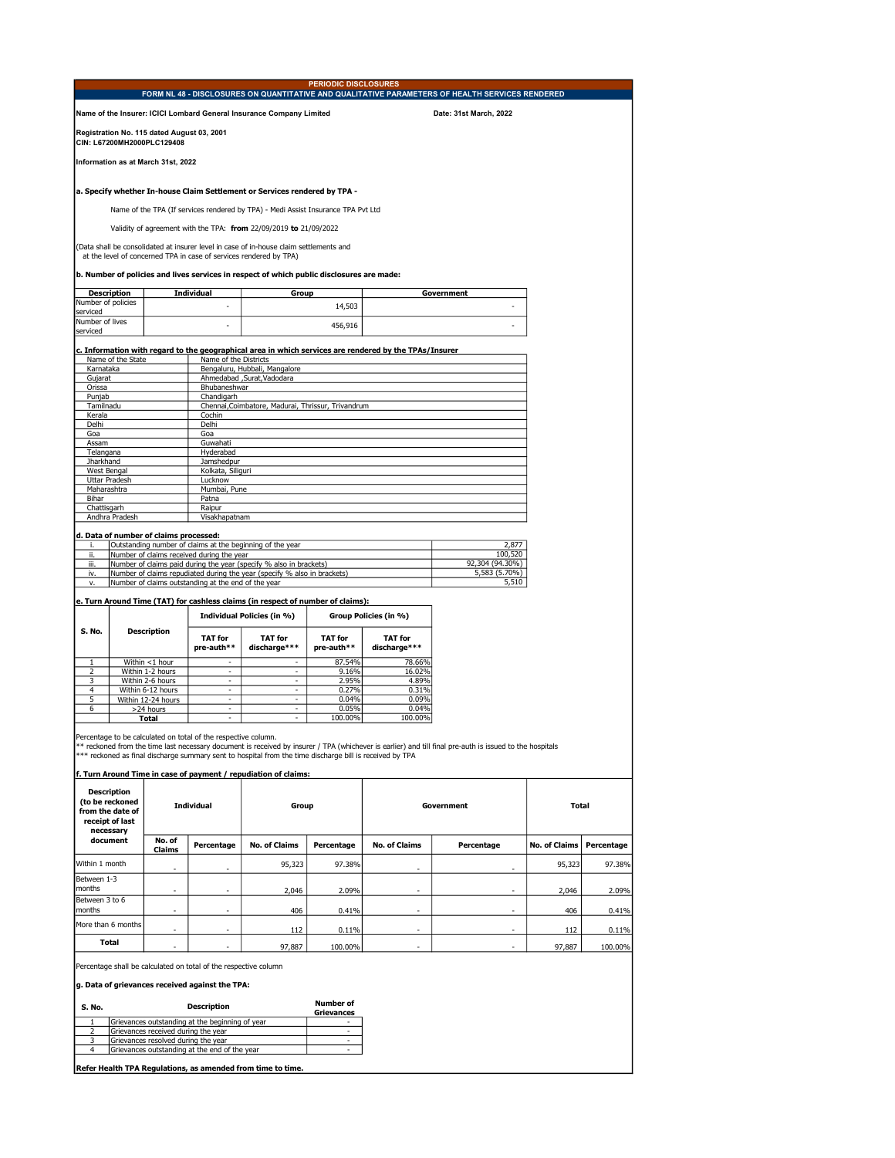|                                                                                            |                       |                                                                          |                                                                |                                                                                                                                                              | <b>PERIODIC DISCLOSURES</b>  |                                                                                                        | FORM NL 48 - DISCLOSURES ON QUANTITATIVE AND QUALITATIVE PARAMETERS OF HEALTH SERVICES RENDERED                                                          |                      |            |
|--------------------------------------------------------------------------------------------|-----------------------|--------------------------------------------------------------------------|----------------------------------------------------------------|--------------------------------------------------------------------------------------------------------------------------------------------------------------|------------------------------|--------------------------------------------------------------------------------------------------------|----------------------------------------------------------------------------------------------------------------------------------------------------------|----------------------|------------|
|                                                                                            |                       |                                                                          |                                                                | Name of the Insurer: ICICI Lombard General Insurance Company Limited                                                                                         |                              |                                                                                                        | Date: 31st March, 2022                                                                                                                                   |                      |            |
|                                                                                            |                       | Registration No. 115 dated August 03, 2001<br>CIN: L67200MH2000PLC129408 |                                                                |                                                                                                                                                              |                              |                                                                                                        |                                                                                                                                                          |                      |            |
|                                                                                            |                       | Information as at March 31st. 2022                                       |                                                                |                                                                                                                                                              |                              |                                                                                                        |                                                                                                                                                          |                      |            |
|                                                                                            |                       |                                                                          |                                                                | a. Specify whether In-house Claim Settlement or Services rendered by TPA -                                                                                   |                              |                                                                                                        |                                                                                                                                                          |                      |            |
|                                                                                            |                       |                                                                          |                                                                | Name of the TPA (If services rendered by TPA) - Medi Assist Insurance TPA Pvt Ltd                                                                            |                              |                                                                                                        |                                                                                                                                                          |                      |            |
|                                                                                            |                       |                                                                          |                                                                | Validity of agreement with the TPA: from 22/09/2019 to 21/09/2022                                                                                            |                              |                                                                                                        |                                                                                                                                                          |                      |            |
|                                                                                            |                       |                                                                          |                                                                | (Data shall be consolidated at insurer level in case of in-house claim settlements and<br>at the level of concerned TPA in case of services rendered by TPA) |                              |                                                                                                        |                                                                                                                                                          |                      |            |
|                                                                                            |                       |                                                                          |                                                                | b. Number of policies and lives services in respect of which public disclosures are made:                                                                    |                              |                                                                                                        |                                                                                                                                                          |                      |            |
| Number of policies<br>serviced                                                             | <b>Description</b>    |                                                                          | Individual                                                     | Group                                                                                                                                                        | 14,503                       |                                                                                                        | Government                                                                                                                                               |                      |            |
| Number of lives<br>serviced                                                                |                       |                                                                          |                                                                |                                                                                                                                                              | 456,916                      |                                                                                                        |                                                                                                                                                          |                      |            |
|                                                                                            |                       |                                                                          |                                                                |                                                                                                                                                              |                              | c. Information with regard to the geographical area in which services are rendered by the TPAs/Insurer |                                                                                                                                                          |                      |            |
| Karnataka                                                                                  | Name of the State     |                                                                          | Name of the Districts                                          | Bengaluru, Hubbali, Mangalore                                                                                                                                |                              |                                                                                                        |                                                                                                                                                          |                      |            |
| Gujarat                                                                                    |                       |                                                                          |                                                                | Ahmedabad , Surat, Vadodara                                                                                                                                  |                              |                                                                                                        |                                                                                                                                                          |                      |            |
| Orissa                                                                                     |                       |                                                                          | Bhubaneshwar<br>Chandigarh                                     |                                                                                                                                                              |                              |                                                                                                        |                                                                                                                                                          |                      |            |
| Punjab<br>Tamilnadu                                                                        |                       |                                                                          |                                                                | Chennai, Coimbatore, Madurai, Thrissur, Trivandrum                                                                                                           |                              |                                                                                                        |                                                                                                                                                          |                      |            |
| Kerala                                                                                     |                       |                                                                          | Cochin                                                         |                                                                                                                                                              |                              |                                                                                                        |                                                                                                                                                          |                      |            |
| Delhi<br>Goa                                                                               |                       |                                                                          | Delhi<br>Goa                                                   |                                                                                                                                                              |                              |                                                                                                        |                                                                                                                                                          |                      |            |
| Assam                                                                                      |                       |                                                                          | Guwahati                                                       |                                                                                                                                                              |                              |                                                                                                        |                                                                                                                                                          |                      |            |
| Telangana                                                                                  |                       |                                                                          | Hyderabad                                                      |                                                                                                                                                              |                              |                                                                                                        |                                                                                                                                                          |                      |            |
| Jharkhand<br>West Bengal                                                                   |                       |                                                                          | Jamshedpur<br>Kolkata, Siliguri                                |                                                                                                                                                              |                              |                                                                                                        |                                                                                                                                                          |                      |            |
|                                                                                            | Uttar Pradesh         |                                                                          | Lucknow                                                        |                                                                                                                                                              |                              |                                                                                                        |                                                                                                                                                          |                      |            |
| Maharashtra<br>Bihar                                                                       |                       |                                                                          | Mumbai, Pune<br>Patna                                          |                                                                                                                                                              |                              |                                                                                                        |                                                                                                                                                          |                      |            |
| Chattisgarh                                                                                |                       |                                                                          | Raipur                                                         |                                                                                                                                                              |                              |                                                                                                        |                                                                                                                                                          |                      |            |
|                                                                                            | Andhra Pradesh        |                                                                          | Visakhapatnam                                                  |                                                                                                                                                              |                              |                                                                                                        |                                                                                                                                                          |                      |            |
|                                                                                            |                       | d. Data of number of claims processed:                                   |                                                                |                                                                                                                                                              |                              |                                                                                                        |                                                                                                                                                          |                      |            |
| j.                                                                                         |                       |                                                                          |                                                                | Outstanding number of claims at the beginning of the year                                                                                                    |                              |                                                                                                        | 2,877                                                                                                                                                    |                      |            |
| ji.<br>iii.                                                                                |                       |                                                                          | Number of claims received during the year                      | Number of claims paid during the year (specify % also in brackets)                                                                                           |                              |                                                                                                        | 100,520<br>92,304 (94.30%)                                                                                                                               |                      |            |
| iv.                                                                                        |                       |                                                                          |                                                                | Number of claims repudiated during the year (specify % also in brackets)                                                                                     |                              |                                                                                                        | 5,583 (5.70%)                                                                                                                                            |                      |            |
| v.                                                                                         |                       |                                                                          | Number of claims outstanding at the end of the year            |                                                                                                                                                              |                              |                                                                                                        | 5,510                                                                                                                                                    |                      |            |
|                                                                                            |                       |                                                                          |                                                                | e. Turn Around Time (TAT) for cashless claims (in respect of number of claims):<br>Individual Policies (in %)                                                |                              | Group Policies (in %)                                                                                  |                                                                                                                                                          |                      |            |
| S. No.                                                                                     |                       | <b>Description</b>                                                       | <b>TAT for</b><br>pre-auth**                                   | <b>TAT for</b><br>discharge***                                                                                                                               | <b>TAT for</b><br>pre-auth** | <b>TAT for</b><br>discharge***                                                                         |                                                                                                                                                          |                      |            |
|                                                                                            |                       |                                                                          |                                                                |                                                                                                                                                              |                              |                                                                                                        |                                                                                                                                                          |                      |            |
| $\mathbf{1}$<br>2                                                                          |                       | Within <1 hour<br>Within 1-2 hours                                       | ÷                                                              | -                                                                                                                                                            | 87.54%<br>9.16%              | 78.66%<br>16.02%                                                                                       |                                                                                                                                                          |                      |            |
| 3                                                                                          |                       | Within 2-6 hours                                                         | ۰                                                              | $\overline{\phantom{a}}$                                                                                                                                     | 2.95%                        | 4.89%                                                                                                  |                                                                                                                                                          |                      |            |
| 4<br>5                                                                                     |                       | Within 6-12 hours                                                        | $\overline{\phantom{a}}$<br>$\mathcal{L}_{\mathcal{A}}$        | $\overline{\phantom{a}}$<br>$\sim$                                                                                                                           | 0.27%                        | 0.31%                                                                                                  |                                                                                                                                                          |                      |            |
| 6                                                                                          |                       | Within 12-24 hours<br>>24 hours                                          | ÷,                                                             | ÷,                                                                                                                                                           | 0.04%<br>0.05%               | 0.09%<br>0.04%                                                                                         |                                                                                                                                                          |                      |            |
|                                                                                            |                       | Total                                                                    | $\blacksquare$                                                 | $\sim$                                                                                                                                                       | 100.00%                      | 100.00%                                                                                                |                                                                                                                                                          |                      |            |
|                                                                                            |                       |                                                                          | Percentage to be calculated on total of the respective column. | *** reckoned as final discharge summary sent to hospital from the time discharge bill is received by TPA                                                     |                              |                                                                                                        | ** reckoned from the time last necessary document is received by insurer / TPA (whichever is earlier) and till final pre-auth is issued to the hospitals |                      |            |
|                                                                                            |                       |                                                                          |                                                                | f. Turn Around Time in case of payment / repudiation of claims:                                                                                              |                              |                                                                                                        |                                                                                                                                                          |                      |            |
| <b>Description</b><br>(to be reckoned<br>Individual<br>from the date of<br>receipt of last |                       | Group                                                                    |                                                                |                                                                                                                                                              | Government                   | Total                                                                                                  |                                                                                                                                                          |                      |            |
|                                                                                            |                       |                                                                          |                                                                |                                                                                                                                                              |                              |                                                                                                        |                                                                                                                                                          |                      |            |
|                                                                                            | necessary<br>document | No. of                                                                   | Percentage                                                     | <b>No. of Claims</b>                                                                                                                                         | Percentage                   | <b>No. of Claims</b>                                                                                   | Percentage                                                                                                                                               | <b>No. of Claims</b> | Percentage |
| Within 1 month                                                                             |                       | <b>Claims</b>                                                            |                                                                | 95,323                                                                                                                                                       | 97.38%                       | ÷,                                                                                                     |                                                                                                                                                          | 95,323               | 97.38%     |
| Between 1-3<br>months                                                                      |                       |                                                                          |                                                                | 2,046                                                                                                                                                        | 2.09%                        | ٠                                                                                                      |                                                                                                                                                          | 2,046                | 2.09%      |
| Between 3 to 6<br>months                                                                   |                       |                                                                          |                                                                | 406                                                                                                                                                          | 0.41%                        |                                                                                                        |                                                                                                                                                          | 406                  | 0.41%      |
| More than 6 months                                                                         |                       |                                                                          |                                                                | <u>112</u>                                                                                                                                                   | 0.11%                        |                                                                                                        |                                                                                                                                                          | <u>112</u>           | 0.11%      |

Percentage shall be calculated on total of the respective column

g. Data of grievances received against the TPA:

| S. No. | <b>Description</b>                              | <b>Number of</b><br><b>Grievances</b> |
|--------|-------------------------------------------------|---------------------------------------|
|        | Grievances outstanding at the beginning of year |                                       |
|        | Grievances received during the year             |                                       |
|        | Grievances resolved during the year             |                                       |
|        | Grievances outstanding at the end of the vear   |                                       |
|        |                                                 |                                       |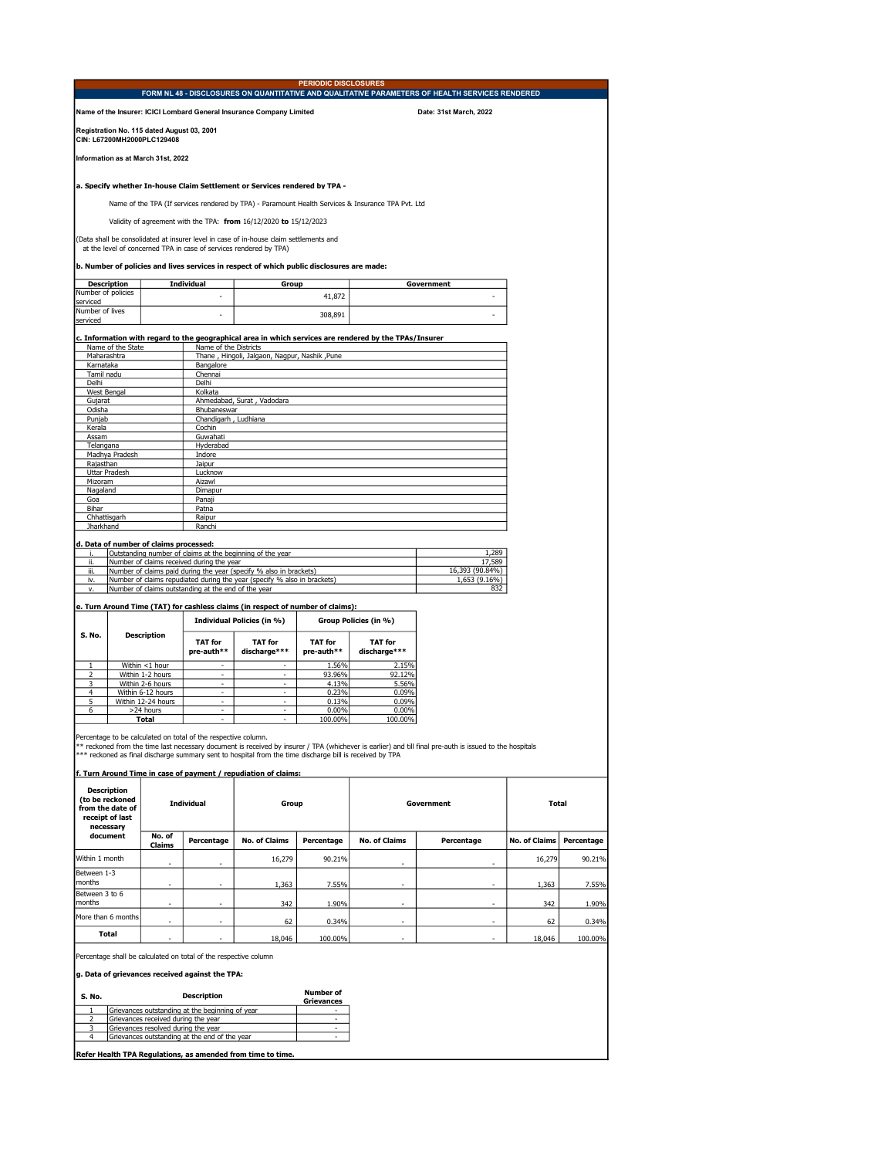|                                           | <b>PERIODIC DISCLOSURES</b><br>FORM NL 48 - DISCLOSURES ON QUANTITATIVE AND QUALITATIVE PARAMETERS OF HEALTH SERVICES RENDERED |                                            |                                                                                                                     |                                                                                                          |                              |                                                                                                        |                                                                                                                                                          |                      |            |  |
|-------------------------------------------|--------------------------------------------------------------------------------------------------------------------------------|--------------------------------------------|---------------------------------------------------------------------------------------------------------------------|----------------------------------------------------------------------------------------------------------|------------------------------|--------------------------------------------------------------------------------------------------------|----------------------------------------------------------------------------------------------------------------------------------------------------------|----------------------|------------|--|
|                                           |                                                                                                                                |                                            |                                                                                                                     | Name of the Insurer: ICICI Lombard General Insurance Company Limited                                     |                              |                                                                                                        | Date: 31st March, 2022                                                                                                                                   |                      |            |  |
|                                           |                                                                                                                                | Registration No. 115 dated August 03, 2001 |                                                                                                                     |                                                                                                          |                              |                                                                                                        |                                                                                                                                                          |                      |            |  |
|                                           |                                                                                                                                | CIN: L67200MH2000PLC129408                 |                                                                                                                     |                                                                                                          |                              |                                                                                                        |                                                                                                                                                          |                      |            |  |
|                                           |                                                                                                                                | Information as at March 31st, 2022         |                                                                                                                     |                                                                                                          |                              |                                                                                                        |                                                                                                                                                          |                      |            |  |
|                                           |                                                                                                                                |                                            |                                                                                                                     | a. Specify whether In-house Claim Settlement or Services rendered by TPA -                               |                              |                                                                                                        |                                                                                                                                                          |                      |            |  |
|                                           |                                                                                                                                |                                            |                                                                                                                     |                                                                                                          |                              | Name of the TPA (If services rendered by TPA) - Paramount Health Services & Insurance TPA Pvt. Ltd     |                                                                                                                                                          |                      |            |  |
|                                           |                                                                                                                                |                                            |                                                                                                                     | Validity of agreement with the TPA: from 16/12/2020 to 15/12/2023                                        |                              |                                                                                                        |                                                                                                                                                          |                      |            |  |
|                                           |                                                                                                                                |                                            |                                                                                                                     | (Data shall be consolidated at insurer level in case of in-house claim settlements and                   |                              |                                                                                                        |                                                                                                                                                          |                      |            |  |
|                                           |                                                                                                                                |                                            |                                                                                                                     | at the level of concerned TPA in case of services rendered by TPA)                                       |                              |                                                                                                        |                                                                                                                                                          |                      |            |  |
|                                           |                                                                                                                                |                                            |                                                                                                                     | b. Number of policies and lives services in respect of which public disclosures are made:                |                              |                                                                                                        |                                                                                                                                                          |                      |            |  |
| Number of policies                        | <b>Description</b>                                                                                                             |                                            | <b>Individual</b>                                                                                                   | Group                                                                                                    |                              |                                                                                                        | Government                                                                                                                                               |                      |            |  |
| serviced                                  |                                                                                                                                |                                            | ×,                                                                                                                  |                                                                                                          | 41,872                       |                                                                                                        |                                                                                                                                                          |                      |            |  |
| serviced                                  | Number of lives<br>308,891                                                                                                     |                                            |                                                                                                                     |                                                                                                          |                              |                                                                                                        |                                                                                                                                                          |                      |            |  |
|                                           |                                                                                                                                |                                            |                                                                                                                     |                                                                                                          |                              | c. Information with regard to the geographical area in which services are rendered by the TPAs/Insurer |                                                                                                                                                          |                      |            |  |
|                                           | Name of the Districts<br>Name of the State<br>Thane, Hingoli, Jalgaon, Nagpur, Nashik, Pune<br>Maharashtra                     |                                            |                                                                                                                     |                                                                                                          |                              |                                                                                                        |                                                                                                                                                          |                      |            |  |
|                                           | Karnataka<br>Bangalore                                                                                                         |                                            |                                                                                                                     |                                                                                                          |                              |                                                                                                        |                                                                                                                                                          |                      |            |  |
| Tamil nadu<br>Delhi                       |                                                                                                                                |                                            | Chennai<br>Delhi                                                                                                    |                                                                                                          |                              |                                                                                                        |                                                                                                                                                          |                      |            |  |
| West Bengal<br>Gujarat                    |                                                                                                                                |                                            | Kolkata                                                                                                             | Ahmedabad, Surat, Vadodara                                                                               |                              |                                                                                                        |                                                                                                                                                          |                      |            |  |
| Odisha                                    |                                                                                                                                |                                            | Bhubaneswar                                                                                                         |                                                                                                          |                              |                                                                                                        |                                                                                                                                                          |                      |            |  |
| Punjab<br>Kerala                          |                                                                                                                                |                                            | Chandigarh, Ludhiana<br>Cochin                                                                                      |                                                                                                          |                              |                                                                                                        |                                                                                                                                                          |                      |            |  |
| Assam                                     |                                                                                                                                |                                            | Guwahati                                                                                                            |                                                                                                          |                              |                                                                                                        |                                                                                                                                                          |                      |            |  |
| Telangana                                 | Madhya Pradesh                                                                                                                 |                                            | Hyderabad<br>Indore                                                                                                 |                                                                                                          |                              |                                                                                                        |                                                                                                                                                          |                      |            |  |
| Rajasthan                                 |                                                                                                                                |                                            | <b>Jaipur</b><br>Lucknow                                                                                            |                                                                                                          |                              |                                                                                                        |                                                                                                                                                          |                      |            |  |
| <b>Uttar Pradesh</b><br>Mizoram<br>Aizawl |                                                                                                                                |                                            |                                                                                                                     |                                                                                                          |                              |                                                                                                        |                                                                                                                                                          |                      |            |  |
| Nagaland<br>Goa                           |                                                                                                                                |                                            | Dimapur<br>Panaji                                                                                                   |                                                                                                          |                              |                                                                                                        |                                                                                                                                                          |                      |            |  |
| Bihar                                     |                                                                                                                                |                                            | Patna                                                                                                               |                                                                                                          |                              |                                                                                                        |                                                                                                                                                          |                      |            |  |
| Chhattisgarh<br>Jharkhand                 |                                                                                                                                |                                            | Raipur<br>Ranchi                                                                                                    |                                                                                                          |                              |                                                                                                        |                                                                                                                                                          |                      |            |  |
|                                           |                                                                                                                                | d. Data of number of claims processed:     |                                                                                                                     |                                                                                                          |                              |                                                                                                        |                                                                                                                                                          |                      |            |  |
|                                           |                                                                                                                                |                                            |                                                                                                                     | Outstanding number of claims at the beginning of the year                                                |                              |                                                                                                        | 1,289<br>17,589                                                                                                                                          |                      |            |  |
| ii.<br>iii.                               |                                                                                                                                |                                            | Number of claims received during the year                                                                           | Number of claims paid during the year (specify % also in brackets)                                       |                              |                                                                                                        | 16,393 (90.84%)                                                                                                                                          |                      |            |  |
| iv.<br>v.                                 |                                                                                                                                |                                            | Number of claims outstanding at the end of the year                                                                 | Number of claims repudiated during the year (specify % also in brackets)                                 |                              |                                                                                                        | 1,653 (9.16%)<br>832                                                                                                                                     |                      |            |  |
|                                           |                                                                                                                                |                                            |                                                                                                                     | e. Turn Around Time (TAT) for cashless claims (in respect of number of claims):                          |                              |                                                                                                        |                                                                                                                                                          |                      |            |  |
| S. No.                                    |                                                                                                                                | <b>Description</b>                         |                                                                                                                     | <b>Individual Policies (in %)</b>                                                                        |                              | Group Policies (in %)                                                                                  |                                                                                                                                                          |                      |            |  |
|                                           |                                                                                                                                |                                            | <b>TAT for</b><br>pre-auth**                                                                                        | <b>TAT for</b><br>discharge***                                                                           | <b>TAT for</b><br>pre-auth** | <b>TAT for</b><br>discharge***                                                                         |                                                                                                                                                          |                      |            |  |
| $1\,$<br>$\overline{\phantom{a}}$         |                                                                                                                                | Within <1 hour<br>Within 1-2 hours         | $\sim$<br>$\overline{\phantom{a}}$                                                                                  | $\overline{\phantom{a}}$                                                                                 | 1.56%<br>93.96%              | 2.15%<br>92.12%                                                                                        |                                                                                                                                                          |                      |            |  |
| 3                                         |                                                                                                                                | Within 2-6 hours                           | $\sim$                                                                                                              | $\overline{\phantom{a}}$                                                                                 | 4.13%                        | 5.56%                                                                                                  |                                                                                                                                                          |                      |            |  |
| $\overline{4}$<br>5                       |                                                                                                                                | Within 6-12 hours<br>Within 12-24 hours    | $\sim$<br>$\overline{\phantom{a}}$                                                                                  | $\overline{\phantom{a}}$                                                                                 | 0.23%<br>0.13%               | 0.09%<br>0.09%                                                                                         |                                                                                                                                                          |                      |            |  |
| 6                                         |                                                                                                                                | >24 hours<br>Total                         | $\sim$<br>×.                                                                                                        |                                                                                                          | 0.00%<br>100.00%             | 0.00%<br>100.00%                                                                                       |                                                                                                                                                          |                      |            |  |
|                                           |                                                                                                                                |                                            | ercentage to be calculated on total of the respective column.                                                       |                                                                                                          |                              |                                                                                                        | ** reckoned from the time last necessary document is received by insurer / TPA (whichever is earlier) and till final pre-auth is issued to the hospitals |                      |            |  |
|                                           |                                                                                                                                |                                            |                                                                                                                     | *** reckoned as final discharge summary sent to hospital from the time discharge bill is received by TPA |                              |                                                                                                        |                                                                                                                                                          |                      |            |  |
|                                           |                                                                                                                                |                                            |                                                                                                                     | f. Turn Around Time in case of payment / repudiation of claims:                                          |                              |                                                                                                        |                                                                                                                                                          |                      |            |  |
|                                           | <b>Description</b><br>(to be reckoned                                                                                          |                                            | Individual                                                                                                          | Group                                                                                                    |                              |                                                                                                        | Government                                                                                                                                               | Total                |            |  |
|                                           | from the date of<br>receipt of last                                                                                            |                                            |                                                                                                                     |                                                                                                          |                              |                                                                                                        |                                                                                                                                                          |                      |            |  |
|                                           | necessary                                                                                                                      |                                            |                                                                                                                     |                                                                                                          |                              |                                                                                                        |                                                                                                                                                          |                      |            |  |
|                                           | document                                                                                                                       | No. of<br>Claims                           | Percentage                                                                                                          | <b>No. of Claims</b>                                                                                     | Percentage                   | <b>No. of Claims</b>                                                                                   | Percentage                                                                                                                                               | <b>No. of Claims</b> | Percentage |  |
| Within 1 month                            |                                                                                                                                |                                            |                                                                                                                     | 16,279                                                                                                   | 90.21%                       |                                                                                                        |                                                                                                                                                          | 16,279               | 90.21%     |  |
| Between 1-3<br>months                     |                                                                                                                                |                                            |                                                                                                                     | 1,363                                                                                                    | 7.55%                        |                                                                                                        |                                                                                                                                                          | 1,363                | 7.55%      |  |
| Between 3 to 6<br>months                  |                                                                                                                                |                                            |                                                                                                                     | 342                                                                                                      | 1.90%                        |                                                                                                        |                                                                                                                                                          | 342                  | 1.90%      |  |
| More than 6 months                        |                                                                                                                                |                                            |                                                                                                                     | 62                                                                                                       | 0.34%                        |                                                                                                        |                                                                                                                                                          | 62                   | 0.34%      |  |
|                                           | Total                                                                                                                          |                                            |                                                                                                                     | 18,046                                                                                                   | 100.00%                      |                                                                                                        |                                                                                                                                                          | 18,046               | 100.00%    |  |
|                                           |                                                                                                                                |                                            |                                                                                                                     |                                                                                                          |                              |                                                                                                        |                                                                                                                                                          |                      |            |  |
|                                           |                                                                                                                                |                                            | Percentage shall be calculated on total of the respective column<br>g. Data of grievances received against the TPA: |                                                                                                          |                              |                                                                                                        |                                                                                                                                                          |                      |            |  |
|                                           |                                                                                                                                |                                            |                                                                                                                     |                                                                                                          | <b>Number of</b>             |                                                                                                        |                                                                                                                                                          |                      |            |  |
| S. No.                                    |                                                                                                                                |                                            | <b>Description</b>                                                                                                  |                                                                                                          | <b>Grievances</b>            |                                                                                                        |                                                                                                                                                          |                      |            |  |
| $\mathbf{1}$<br>2                         |                                                                                                                                | Grievances received during the year        | Grievances outstanding at the beginning of year                                                                     |                                                                                                          |                              |                                                                                                        |                                                                                                                                                          |                      |            |  |
| 3<br>4                                    |                                                                                                                                | Grievances resolved during the year        | Grievances outstanding at the end of the year                                                                       |                                                                                                          |                              |                                                                                                        |                                                                                                                                                          |                      |            |  |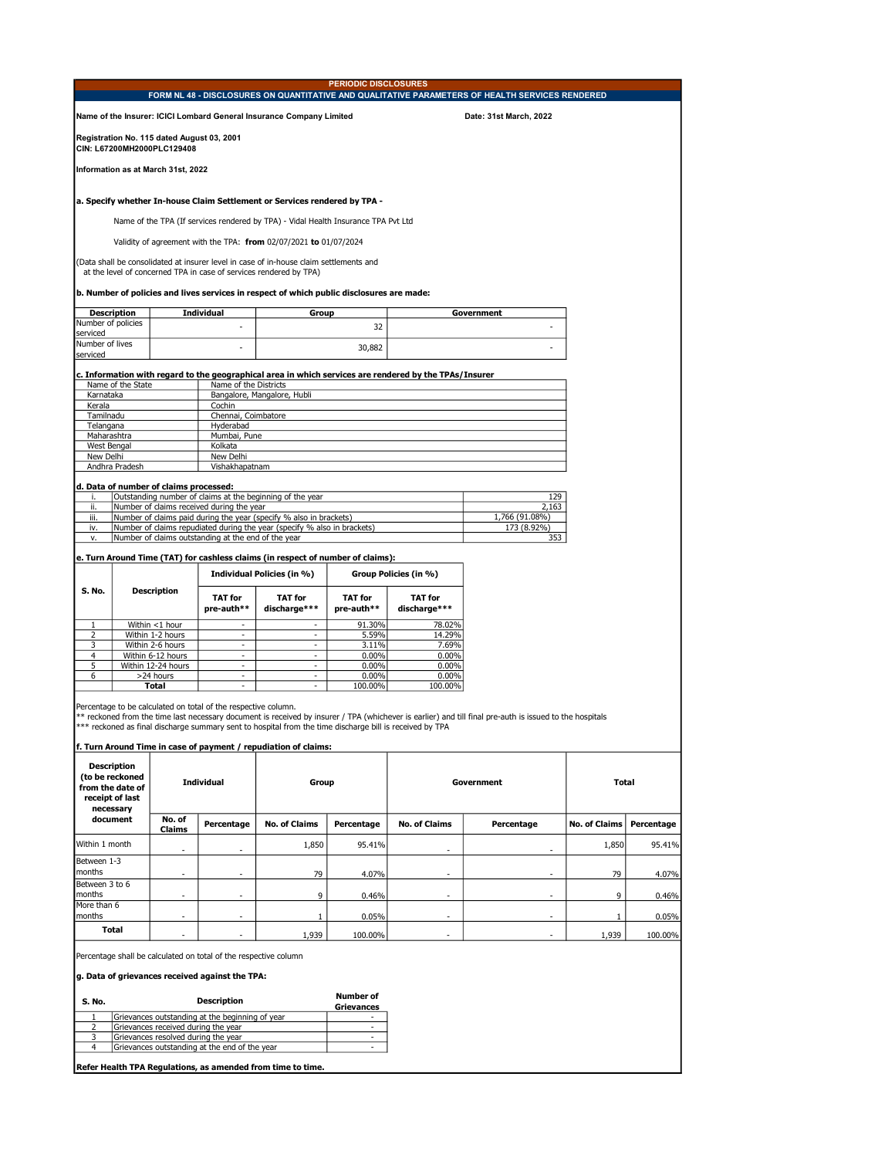|                                | <b>PERIODIC DISCLOSURES</b><br>FORM NL 48 - DISCLOSURES ON QUANTITATIVE AND QUALITATIVE PARAMETERS OF HEALTH SERVICES RENDERED                                                                                                        |                                                                            |                                                                |                                                                                                                                                                             |                               |                                                                                                        |                                                                                                                                                          |                      |            |  |  |
|--------------------------------|---------------------------------------------------------------------------------------------------------------------------------------------------------------------------------------------------------------------------------------|----------------------------------------------------------------------------|----------------------------------------------------------------|-----------------------------------------------------------------------------------------------------------------------------------------------------------------------------|-------------------------------|--------------------------------------------------------------------------------------------------------|----------------------------------------------------------------------------------------------------------------------------------------------------------|----------------------|------------|--|--|
|                                |                                                                                                                                                                                                                                       |                                                                            |                                                                | Name of the Insurer: ICICI Lombard General Insurance Company Limited                                                                                                        |                               |                                                                                                        | Date: 31st March, 2022                                                                                                                                   |                      |            |  |  |
|                                |                                                                                                                                                                                                                                       | Registration No. 115 dated August 03, 2001<br>CIN: L67200MH2000PLC129408   |                                                                |                                                                                                                                                                             |                               |                                                                                                        |                                                                                                                                                          |                      |            |  |  |
|                                |                                                                                                                                                                                                                                       | Information as at March 31st, 2022                                         |                                                                |                                                                                                                                                                             |                               |                                                                                                        |                                                                                                                                                          |                      |            |  |  |
|                                |                                                                                                                                                                                                                                       |                                                                            |                                                                | a. Specify whether In-house Claim Settlement or Services rendered by TPA -                                                                                                  |                               |                                                                                                        |                                                                                                                                                          |                      |            |  |  |
|                                |                                                                                                                                                                                                                                       |                                                                            |                                                                | Name of the TPA (If services rendered by TPA) - Vidal Health Insurance TPA Pvt Ltd                                                                                          |                               |                                                                                                        |                                                                                                                                                          |                      |            |  |  |
|                                |                                                                                                                                                                                                                                       |                                                                            |                                                                | Validity of agreement with the TPA: from 02/07/2021 to 01/07/2024                                                                                                           |                               |                                                                                                        |                                                                                                                                                          |                      |            |  |  |
|                                |                                                                                                                                                                                                                                       |                                                                            |                                                                | (Data shall be consolidated at insurer level in case of in-house claim settlements and                                                                                      |                               |                                                                                                        |                                                                                                                                                          |                      |            |  |  |
|                                |                                                                                                                                                                                                                                       |                                                                            |                                                                | at the level of concerned TPA in case of services rendered by TPA)                                                                                                          |                               |                                                                                                        |                                                                                                                                                          |                      |            |  |  |
|                                | <b>Description</b>                                                                                                                                                                                                                    |                                                                            | <b>Individual</b>                                              | b. Number of policies and lives services in respect of which public disclosures are made:<br>Group                                                                          |                               |                                                                                                        | Government                                                                                                                                               |                      |            |  |  |
| Number of policies<br>serviced |                                                                                                                                                                                                                                       |                                                                            |                                                                |                                                                                                                                                                             | 32                            |                                                                                                        |                                                                                                                                                          |                      |            |  |  |
| Number of lives<br>serviced    |                                                                                                                                                                                                                                       |                                                                            |                                                                |                                                                                                                                                                             | 30,882                        |                                                                                                        |                                                                                                                                                          |                      |            |  |  |
|                                |                                                                                                                                                                                                                                       |                                                                            |                                                                |                                                                                                                                                                             |                               | c. Information with regard to the geographical area in which services are rendered by the TPAs/Insurer |                                                                                                                                                          |                      |            |  |  |
| Karnataka                      | Name of the State                                                                                                                                                                                                                     |                                                                            | Name of the Districts                                          | Bangalore, Mangalore, Hubli                                                                                                                                                 |                               |                                                                                                        |                                                                                                                                                          |                      |            |  |  |
| Kerala                         |                                                                                                                                                                                                                                       |                                                                            | Cochin                                                         |                                                                                                                                                                             |                               |                                                                                                        |                                                                                                                                                          |                      |            |  |  |
| Tamilnadu                      |                                                                                                                                                                                                                                       |                                                                            | Chennai, Coimbatore                                            |                                                                                                                                                                             |                               |                                                                                                        |                                                                                                                                                          |                      |            |  |  |
| Telangana<br>Maharashtra       |                                                                                                                                                                                                                                       |                                                                            | Hyderabad<br>Mumbai, Pune                                      |                                                                                                                                                                             |                               |                                                                                                        |                                                                                                                                                          |                      |            |  |  |
| West Bengal                    |                                                                                                                                                                                                                                       |                                                                            | Kolkata                                                        |                                                                                                                                                                             |                               |                                                                                                        |                                                                                                                                                          |                      |            |  |  |
| New Delhi                      | Andhra Pradesh                                                                                                                                                                                                                        |                                                                            | New Delhi<br>Vishakhapatnam                                    |                                                                                                                                                                             |                               |                                                                                                        |                                                                                                                                                          |                      |            |  |  |
|                                |                                                                                                                                                                                                                                       |                                                                            |                                                                |                                                                                                                                                                             |                               |                                                                                                        |                                                                                                                                                          |                      |            |  |  |
| j.                             | d. Data of number of claims processed:<br>Outstanding number of claims at the beginning of the year<br>129                                                                                                                            |                                                                            |                                                                |                                                                                                                                                                             |                               |                                                                                                        |                                                                                                                                                          |                      |            |  |  |
| ii.                            |                                                                                                                                                                                                                                       |                                                                            | Number of claims received during the year                      |                                                                                                                                                                             |                               |                                                                                                        | 2,163                                                                                                                                                    |                      |            |  |  |
| iii.<br>iv.                    |                                                                                                                                                                                                                                       |                                                                            |                                                                | Number of claims paid during the year (specify % also in brackets)<br>Number of claims repudiated during the year (specify % also in brackets)                              |                               |                                                                                                        | 1,766 (91.08%)<br>173 (8.92%)                                                                                                                            |                      |            |  |  |
| ٧.                             |                                                                                                                                                                                                                                       |                                                                            | Number of claims outstanding at the end of the year            |                                                                                                                                                                             |                               |                                                                                                        | 353                                                                                                                                                      |                      |            |  |  |
|                                |                                                                                                                                                                                                                                       |                                                                            |                                                                | e. Turn Around Time (TAT) for cashless claims (in respect of number of claims):                                                                                             |                               |                                                                                                        |                                                                                                                                                          |                      |            |  |  |
|                                |                                                                                                                                                                                                                                       |                                                                            |                                                                | Individual Policies (in %)                                                                                                                                                  |                               | Group Policies (in %)                                                                                  |                                                                                                                                                          |                      |            |  |  |
| S. No.                         |                                                                                                                                                                                                                                       |                                                                            |                                                                |                                                                                                                                                                             |                               |                                                                                                        |                                                                                                                                                          |                      |            |  |  |
|                                |                                                                                                                                                                                                                                       | <b>Description</b>                                                         | <b>TAT for</b><br>pre-auth**                                   | <b>TAT for</b><br>discharge***                                                                                                                                              | TAT for<br>pre-auth**         | <b>TAT for</b><br>discharge***                                                                         |                                                                                                                                                          |                      |            |  |  |
| 1                              |                                                                                                                                                                                                                                       | Within <1 hour                                                             | $\overline{a}$                                                 | $\overline{a}$                                                                                                                                                              | 91.30%                        | 78.02%                                                                                                 |                                                                                                                                                          |                      |            |  |  |
| 2<br>3                         |                                                                                                                                                                                                                                       | Within 1-2 hours<br>Within 2-6 hours                                       | $\overline{\phantom{a}}$<br>$\overline{\phantom{a}}$           | $\overline{\phantom{a}}$<br>$\overline{a}$                                                                                                                                  | 5.59%<br>3.11%                | 14.29%<br>7.69%                                                                                        |                                                                                                                                                          |                      |            |  |  |
| $\overline{4}$                 |                                                                                                                                                                                                                                       | Within 6-12 hours                                                          | $\overline{a}$                                                 | $\overline{a}$                                                                                                                                                              | $0.00\%$                      | $0.00\%$                                                                                               |                                                                                                                                                          |                      |            |  |  |
| 5<br>6                         |                                                                                                                                                                                                                                       | Within 12-24 hours<br>>24 hours                                            | $\sim$<br>$\overline{\phantom{a}}$                             | $\overline{\phantom{a}}$<br>$\overline{a}$                                                                                                                                  | $0.00\%$<br>0.00%             | $0.00\%$<br>0.00%                                                                                      |                                                                                                                                                          |                      |            |  |  |
|                                |                                                                                                                                                                                                                                       | Total                                                                      |                                                                | $\overline{a}$                                                                                                                                                              | 100.00%                       | 100.00%                                                                                                |                                                                                                                                                          |                      |            |  |  |
|                                |                                                                                                                                                                                                                                       |                                                                            | Percentage to be calculated on total of the respective column. | *** reckoned as final discharge summary sent to hospital from the time discharge bill is received by TPA<br>f. Turn Around Time in case of payment / repudiation of claims: |                               |                                                                                                        | ** reckoned from the time last necessary document is received by insurer / TPA (whichever is earlier) and till final pre-auth is issued to the hospitals |                      |            |  |  |
|                                | <b>Description</b><br>(to be reckoned<br>from the date of<br>receipt of last<br>necessary                                                                                                                                             |                                                                            | <b>Individual</b>                                              | Group                                                                                                                                                                       |                               |                                                                                                        | Government                                                                                                                                               | <b>Total</b>         |            |  |  |
|                                | document                                                                                                                                                                                                                              | No. of<br>Claims                                                           | Percentage                                                     | <b>No. of Claims</b>                                                                                                                                                        | Percentage                    | <b>No. of Claims</b>                                                                                   | Percentage                                                                                                                                               | <b>No. of Claims</b> | Percentage |  |  |
| Within 1 month                 |                                                                                                                                                                                                                                       |                                                                            |                                                                | 1,850                                                                                                                                                                       | 95.41%                        |                                                                                                        |                                                                                                                                                          | 1,850                | 95.41%     |  |  |
| Between 1-3<br>months          |                                                                                                                                                                                                                                       |                                                                            |                                                                | 79                                                                                                                                                                          | 4.07%                         |                                                                                                        |                                                                                                                                                          | 79                   | 4.07%      |  |  |
| Between 3 to 6<br>months       |                                                                                                                                                                                                                                       |                                                                            | $\overline{a}$                                                 | 9                                                                                                                                                                           | 0.46%                         | $\overline{a}$                                                                                         |                                                                                                                                                          | 9                    | 0.46%      |  |  |
| More than 6<br>months          |                                                                                                                                                                                                                                       |                                                                            |                                                                | 1                                                                                                                                                                           | 0.05%                         |                                                                                                        |                                                                                                                                                          | 1                    | 0.05%      |  |  |
|                                | Total                                                                                                                                                                                                                                 |                                                                            |                                                                | 1,939                                                                                                                                                                       | 100.00%                       |                                                                                                        |                                                                                                                                                          | 1,939                | 100.00%    |  |  |
| S. No.<br>1                    | Percentage shall be calculated on total of the respective column<br>g. Data of grievances received against the TPA:<br><b>Number of</b><br><b>Description</b><br><b>Grievances</b><br>Grievances outstanding at the beginning of year |                                                                            |                                                                |                                                                                                                                                                             |                               |                                                                                                        |                                                                                                                                                          |                      |            |  |  |
| 2<br>3                         |                                                                                                                                                                                                                                       | Grievances received during the year<br>Grievances resolved during the year |                                                                |                                                                                                                                                                             | ٠<br>$\overline{\phantom{a}}$ |                                                                                                        |                                                                                                                                                          |                      |            |  |  |
| $\overline{4}$                 |                                                                                                                                                                                                                                       |                                                                            | Grievances outstanding at the end of the year                  |                                                                                                                                                                             | $\overline{\phantom{a}}$      |                                                                                                        |                                                                                                                                                          |                      |            |  |  |
|                                |                                                                                                                                                                                                                                       |                                                                            |                                                                |                                                                                                                                                                             |                               |                                                                                                        |                                                                                                                                                          |                      |            |  |  |
|                                |                                                                                                                                                                                                                                       |                                                                            |                                                                | Refer Health TPA Regulations, as amended from time to time.                                                                                                                 |                               |                                                                                                        |                                                                                                                                                          |                      |            |  |  |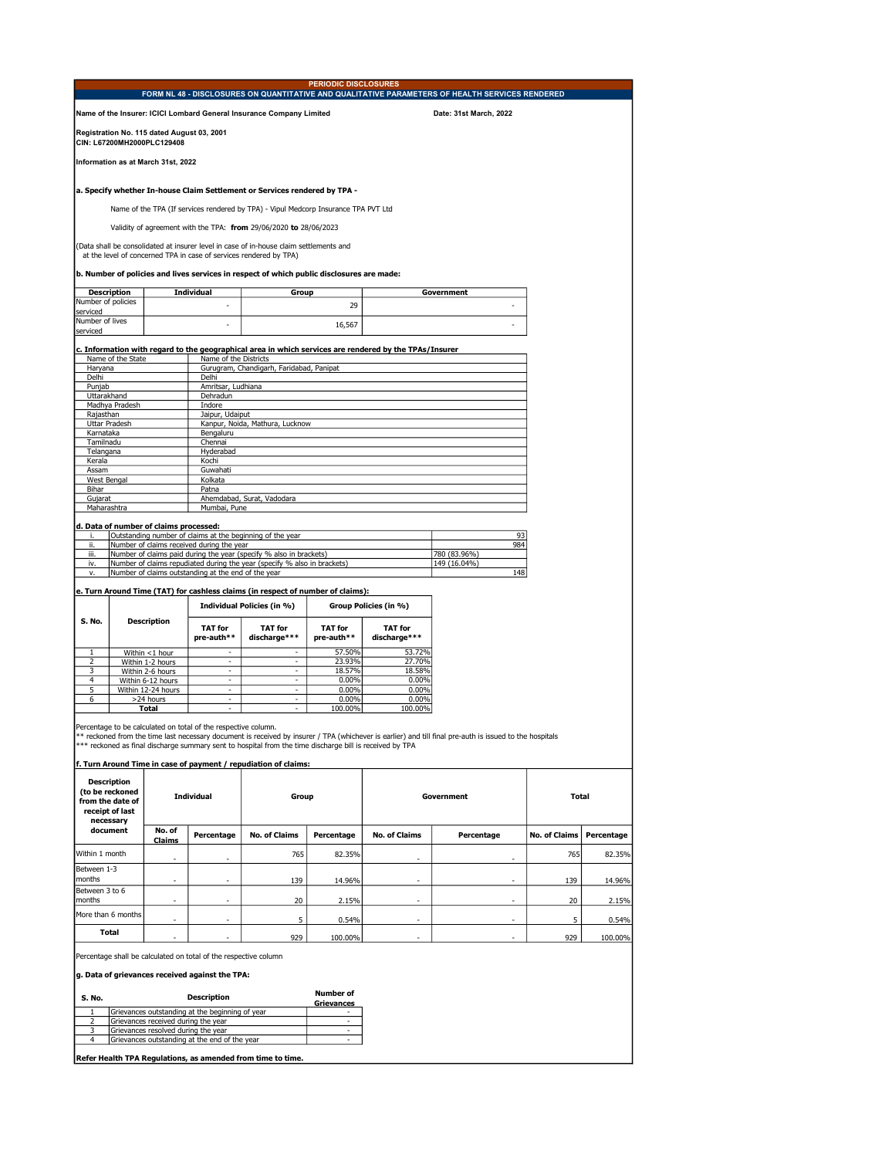| Name of the Insurer: ICICI Lombard General Insurance Company Limited<br>Date: 31st March, 2022<br>Registration No. 115 dated August 03, 2001<br>CIN: L67200MH2000PLC129408<br>Information as at March 31st, 2022<br>a. Specify whether In-house Claim Settlement or Services rendered by TPA -<br>Name of the TPA (If services rendered by TPA) - Vipul Medcorp Insurance TPA PVT Ltd<br>Validity of agreement with the TPA: from 29/06/2020 to 28/06/2023<br>(Data shall be consolidated at insurer level in case of in-house claim settlements and<br>at the level of concerned TPA in case of services rendered by TPA)<br>b. Number of policies and lives services in respect of which public disclosures are made:<br><b>Description</b><br>Individual<br>Group<br>Government<br>Number of policies<br>29<br>serviced<br>Number of lives<br>16,567<br>serviced<br>c. Information with regard to the geographical area in which services are rendered by the TPAs/Insurer<br>Name of the State<br>Name of the Districts<br>Haryana<br>Gurugram, Chandigarh, Faridabad, Panipat<br>Delhi<br>Delhi<br>Amritsar, Ludhiana<br>Punjab<br>Uttarakhand<br>Dehradun<br>Madhya Pradesh<br>Indore<br>Rajasthan<br>Jaipur, Udaiput<br>Uttar Pradesh<br>Kanpur, Noida, Mathura, Lucknow<br>Karnataka<br>Bengaluru<br>Tamilnadu<br>Chennai<br>Telangana<br>Hyderabad<br>Kerala<br>Kochi<br>Assam<br>Guwahati<br><b>West Bengal</b><br>Kolkata<br>Bihar<br>Patna<br>Ahemdabad, Surat, Vadodara<br>Gujarat<br>Maharashtra<br>Mumbai, Pune<br>d. Data of number of claims processed:<br>Outstanding number of claims at the beginning of the year<br>93<br>i.<br>ii.<br>Number of claims received during the year<br>984<br>iii.<br>Number of claims paid during the year (specify % also in brackets)<br>780 (83.96%)<br>149 (16.04%)<br>Number of claims repudiated during the year (specify % also in brackets)<br>i٧.<br>Number of claims outstanding at the end of the year<br>148<br>٧.<br>e. Turn Around Time (TAT) for cashless claims (in respect of number of claims):<br>Individual Policies (in %)<br>Group Policies (in %)<br>S. No.<br><b>Description</b><br><b>TAT for</b><br><b>TAT for</b><br><b>TAT for</b><br><b>TAT for</b><br>pre-auth**<br>discharge***<br>pre-auth**<br>discharge***<br>57.50%<br>53.72%<br>1<br>Within <1 hour<br>2<br>Within 1-2 hours<br>23.93%<br>27.70%<br>Within 2-6 hours<br>18.58%<br>3<br>18.57%<br>$\overline{\phantom{a}}$<br>4<br>Within 6-12 hours<br>$\overline{\phantom{a}}$<br>0.00%<br>0.00%<br>$\overline{\phantom{a}}$<br>5<br>Within 12-24 hours<br>$0.00\%$<br>0.00%<br>$\overline{\phantom{a}}$<br>$\overline{\phantom{a}}$<br>6<br>>24 hours<br>ä,<br>0.00%<br>$0.00\%$<br>100.00%<br><b>Total</b><br>100.00%<br>Percentage to be calculated on total of the respective column.<br>* reckoned from the time last necessary document is received by insurer / TPA (whichever is earlier) and till final pre-auth is issued to the hospitals<br>*** reckoned as final discharge summary sent to hospital from the time discharge bill is received by TPA<br>f. Turn Around Time in case of payment / repudiation of claims:<br><b>Description</b><br>(to be reckoned<br>Individual<br>Group<br>Government<br>Total<br>from the date of<br>receipt of last<br>necessary<br>document<br>No. of<br>Percentage<br><b>No. of Claims</b><br>Percentage<br><b>No. of Claims</b><br><b>No. of Claims</b><br>Percentage<br>Percentage<br><b>Claims</b><br>Within 1 month<br>765<br>82.35%<br>765<br>82.35% |  |  | <b>PERIODIC DISCLOSURES</b> | FORM NL 48 - DISCLOSURES ON QUANTITATIVE AND QUALITATIVE PARAMETERS OF HEALTH SERVICES RENDERED |  |
|---------------------------------------------------------------------------------------------------------------------------------------------------------------------------------------------------------------------------------------------------------------------------------------------------------------------------------------------------------------------------------------------------------------------------------------------------------------------------------------------------------------------------------------------------------------------------------------------------------------------------------------------------------------------------------------------------------------------------------------------------------------------------------------------------------------------------------------------------------------------------------------------------------------------------------------------------------------------------------------------------------------------------------------------------------------------------------------------------------------------------------------------------------------------------------------------------------------------------------------------------------------------------------------------------------------------------------------------------------------------------------------------------------------------------------------------------------------------------------------------------------------------------------------------------------------------------------------------------------------------------------------------------------------------------------------------------------------------------------------------------------------------------------------------------------------------------------------------------------------------------------------------------------------------------------------------------------------------------------------------------------------------------------------------------------------------------------------------------------------------------------------------------------------------------------------------------------------------------------------------------------------------------------------------------------------------------------------------------------------------------------------------------------------------------------------------------------------------------------------------------------------------------------------------------------------------------------------------------------------------------------------------------------------------------------------------------------------------------------------------------------------------------------------------------------------------------------------------------------------------------------------------------------------------------------------------------------------------------------------------------------------------------------------------------------------------------------------------------------------------------------------------------------------------------------------------------------------------------------------------------------------------------------------------------------------------------------------------------------------------------------------------------------------------------------------------------------------------------------------------------------------------------------------------------|--|--|-----------------------------|-------------------------------------------------------------------------------------------------|--|
|                                                                                                                                                                                                                                                                                                                                                                                                                                                                                                                                                                                                                                                                                                                                                                                                                                                                                                                                                                                                                                                                                                                                                                                                                                                                                                                                                                                                                                                                                                                                                                                                                                                                                                                                                                                                                                                                                                                                                                                                                                                                                                                                                                                                                                                                                                                                                                                                                                                                                                                                                                                                                                                                                                                                                                                                                                                                                                                                                                                                                                                                                                                                                                                                                                                                                                                                                                                                                                                                                                                                                   |  |  |                             |                                                                                                 |  |
|                                                                                                                                                                                                                                                                                                                                                                                                                                                                                                                                                                                                                                                                                                                                                                                                                                                                                                                                                                                                                                                                                                                                                                                                                                                                                                                                                                                                                                                                                                                                                                                                                                                                                                                                                                                                                                                                                                                                                                                                                                                                                                                                                                                                                                                                                                                                                                                                                                                                                                                                                                                                                                                                                                                                                                                                                                                                                                                                                                                                                                                                                                                                                                                                                                                                                                                                                                                                                                                                                                                                                   |  |  |                             |                                                                                                 |  |
|                                                                                                                                                                                                                                                                                                                                                                                                                                                                                                                                                                                                                                                                                                                                                                                                                                                                                                                                                                                                                                                                                                                                                                                                                                                                                                                                                                                                                                                                                                                                                                                                                                                                                                                                                                                                                                                                                                                                                                                                                                                                                                                                                                                                                                                                                                                                                                                                                                                                                                                                                                                                                                                                                                                                                                                                                                                                                                                                                                                                                                                                                                                                                                                                                                                                                                                                                                                                                                                                                                                                                   |  |  |                             |                                                                                                 |  |
|                                                                                                                                                                                                                                                                                                                                                                                                                                                                                                                                                                                                                                                                                                                                                                                                                                                                                                                                                                                                                                                                                                                                                                                                                                                                                                                                                                                                                                                                                                                                                                                                                                                                                                                                                                                                                                                                                                                                                                                                                                                                                                                                                                                                                                                                                                                                                                                                                                                                                                                                                                                                                                                                                                                                                                                                                                                                                                                                                                                                                                                                                                                                                                                                                                                                                                                                                                                                                                                                                                                                                   |  |  |                             |                                                                                                 |  |
|                                                                                                                                                                                                                                                                                                                                                                                                                                                                                                                                                                                                                                                                                                                                                                                                                                                                                                                                                                                                                                                                                                                                                                                                                                                                                                                                                                                                                                                                                                                                                                                                                                                                                                                                                                                                                                                                                                                                                                                                                                                                                                                                                                                                                                                                                                                                                                                                                                                                                                                                                                                                                                                                                                                                                                                                                                                                                                                                                                                                                                                                                                                                                                                                                                                                                                                                                                                                                                                                                                                                                   |  |  |                             |                                                                                                 |  |
|                                                                                                                                                                                                                                                                                                                                                                                                                                                                                                                                                                                                                                                                                                                                                                                                                                                                                                                                                                                                                                                                                                                                                                                                                                                                                                                                                                                                                                                                                                                                                                                                                                                                                                                                                                                                                                                                                                                                                                                                                                                                                                                                                                                                                                                                                                                                                                                                                                                                                                                                                                                                                                                                                                                                                                                                                                                                                                                                                                                                                                                                                                                                                                                                                                                                                                                                                                                                                                                                                                                                                   |  |  |                             |                                                                                                 |  |
|                                                                                                                                                                                                                                                                                                                                                                                                                                                                                                                                                                                                                                                                                                                                                                                                                                                                                                                                                                                                                                                                                                                                                                                                                                                                                                                                                                                                                                                                                                                                                                                                                                                                                                                                                                                                                                                                                                                                                                                                                                                                                                                                                                                                                                                                                                                                                                                                                                                                                                                                                                                                                                                                                                                                                                                                                                                                                                                                                                                                                                                                                                                                                                                                                                                                                                                                                                                                                                                                                                                                                   |  |  |                             |                                                                                                 |  |
|                                                                                                                                                                                                                                                                                                                                                                                                                                                                                                                                                                                                                                                                                                                                                                                                                                                                                                                                                                                                                                                                                                                                                                                                                                                                                                                                                                                                                                                                                                                                                                                                                                                                                                                                                                                                                                                                                                                                                                                                                                                                                                                                                                                                                                                                                                                                                                                                                                                                                                                                                                                                                                                                                                                                                                                                                                                                                                                                                                                                                                                                                                                                                                                                                                                                                                                                                                                                                                                                                                                                                   |  |  |                             |                                                                                                 |  |
|                                                                                                                                                                                                                                                                                                                                                                                                                                                                                                                                                                                                                                                                                                                                                                                                                                                                                                                                                                                                                                                                                                                                                                                                                                                                                                                                                                                                                                                                                                                                                                                                                                                                                                                                                                                                                                                                                                                                                                                                                                                                                                                                                                                                                                                                                                                                                                                                                                                                                                                                                                                                                                                                                                                                                                                                                                                                                                                                                                                                                                                                                                                                                                                                                                                                                                                                                                                                                                                                                                                                                   |  |  |                             |                                                                                                 |  |
|                                                                                                                                                                                                                                                                                                                                                                                                                                                                                                                                                                                                                                                                                                                                                                                                                                                                                                                                                                                                                                                                                                                                                                                                                                                                                                                                                                                                                                                                                                                                                                                                                                                                                                                                                                                                                                                                                                                                                                                                                                                                                                                                                                                                                                                                                                                                                                                                                                                                                                                                                                                                                                                                                                                                                                                                                                                                                                                                                                                                                                                                                                                                                                                                                                                                                                                                                                                                                                                                                                                                                   |  |  |                             |                                                                                                 |  |
|                                                                                                                                                                                                                                                                                                                                                                                                                                                                                                                                                                                                                                                                                                                                                                                                                                                                                                                                                                                                                                                                                                                                                                                                                                                                                                                                                                                                                                                                                                                                                                                                                                                                                                                                                                                                                                                                                                                                                                                                                                                                                                                                                                                                                                                                                                                                                                                                                                                                                                                                                                                                                                                                                                                                                                                                                                                                                                                                                                                                                                                                                                                                                                                                                                                                                                                                                                                                                                                                                                                                                   |  |  |                             |                                                                                                 |  |
|                                                                                                                                                                                                                                                                                                                                                                                                                                                                                                                                                                                                                                                                                                                                                                                                                                                                                                                                                                                                                                                                                                                                                                                                                                                                                                                                                                                                                                                                                                                                                                                                                                                                                                                                                                                                                                                                                                                                                                                                                                                                                                                                                                                                                                                                                                                                                                                                                                                                                                                                                                                                                                                                                                                                                                                                                                                                                                                                                                                                                                                                                                                                                                                                                                                                                                                                                                                                                                                                                                                                                   |  |  |                             |                                                                                                 |  |
|                                                                                                                                                                                                                                                                                                                                                                                                                                                                                                                                                                                                                                                                                                                                                                                                                                                                                                                                                                                                                                                                                                                                                                                                                                                                                                                                                                                                                                                                                                                                                                                                                                                                                                                                                                                                                                                                                                                                                                                                                                                                                                                                                                                                                                                                                                                                                                                                                                                                                                                                                                                                                                                                                                                                                                                                                                                                                                                                                                                                                                                                                                                                                                                                                                                                                                                                                                                                                                                                                                                                                   |  |  |                             |                                                                                                 |  |
|                                                                                                                                                                                                                                                                                                                                                                                                                                                                                                                                                                                                                                                                                                                                                                                                                                                                                                                                                                                                                                                                                                                                                                                                                                                                                                                                                                                                                                                                                                                                                                                                                                                                                                                                                                                                                                                                                                                                                                                                                                                                                                                                                                                                                                                                                                                                                                                                                                                                                                                                                                                                                                                                                                                                                                                                                                                                                                                                                                                                                                                                                                                                                                                                                                                                                                                                                                                                                                                                                                                                                   |  |  |                             |                                                                                                 |  |
|                                                                                                                                                                                                                                                                                                                                                                                                                                                                                                                                                                                                                                                                                                                                                                                                                                                                                                                                                                                                                                                                                                                                                                                                                                                                                                                                                                                                                                                                                                                                                                                                                                                                                                                                                                                                                                                                                                                                                                                                                                                                                                                                                                                                                                                                                                                                                                                                                                                                                                                                                                                                                                                                                                                                                                                                                                                                                                                                                                                                                                                                                                                                                                                                                                                                                                                                                                                                                                                                                                                                                   |  |  |                             |                                                                                                 |  |
|                                                                                                                                                                                                                                                                                                                                                                                                                                                                                                                                                                                                                                                                                                                                                                                                                                                                                                                                                                                                                                                                                                                                                                                                                                                                                                                                                                                                                                                                                                                                                                                                                                                                                                                                                                                                                                                                                                                                                                                                                                                                                                                                                                                                                                                                                                                                                                                                                                                                                                                                                                                                                                                                                                                                                                                                                                                                                                                                                                                                                                                                                                                                                                                                                                                                                                                                                                                                                                                                                                                                                   |  |  |                             |                                                                                                 |  |
|                                                                                                                                                                                                                                                                                                                                                                                                                                                                                                                                                                                                                                                                                                                                                                                                                                                                                                                                                                                                                                                                                                                                                                                                                                                                                                                                                                                                                                                                                                                                                                                                                                                                                                                                                                                                                                                                                                                                                                                                                                                                                                                                                                                                                                                                                                                                                                                                                                                                                                                                                                                                                                                                                                                                                                                                                                                                                                                                                                                                                                                                                                                                                                                                                                                                                                                                                                                                                                                                                                                                                   |  |  |                             |                                                                                                 |  |
|                                                                                                                                                                                                                                                                                                                                                                                                                                                                                                                                                                                                                                                                                                                                                                                                                                                                                                                                                                                                                                                                                                                                                                                                                                                                                                                                                                                                                                                                                                                                                                                                                                                                                                                                                                                                                                                                                                                                                                                                                                                                                                                                                                                                                                                                                                                                                                                                                                                                                                                                                                                                                                                                                                                                                                                                                                                                                                                                                                                                                                                                                                                                                                                                                                                                                                                                                                                                                                                                                                                                                   |  |  |                             |                                                                                                 |  |
|                                                                                                                                                                                                                                                                                                                                                                                                                                                                                                                                                                                                                                                                                                                                                                                                                                                                                                                                                                                                                                                                                                                                                                                                                                                                                                                                                                                                                                                                                                                                                                                                                                                                                                                                                                                                                                                                                                                                                                                                                                                                                                                                                                                                                                                                                                                                                                                                                                                                                                                                                                                                                                                                                                                                                                                                                                                                                                                                                                                                                                                                                                                                                                                                                                                                                                                                                                                                                                                                                                                                                   |  |  |                             |                                                                                                 |  |
|                                                                                                                                                                                                                                                                                                                                                                                                                                                                                                                                                                                                                                                                                                                                                                                                                                                                                                                                                                                                                                                                                                                                                                                                                                                                                                                                                                                                                                                                                                                                                                                                                                                                                                                                                                                                                                                                                                                                                                                                                                                                                                                                                                                                                                                                                                                                                                                                                                                                                                                                                                                                                                                                                                                                                                                                                                                                                                                                                                                                                                                                                                                                                                                                                                                                                                                                                                                                                                                                                                                                                   |  |  |                             |                                                                                                 |  |
|                                                                                                                                                                                                                                                                                                                                                                                                                                                                                                                                                                                                                                                                                                                                                                                                                                                                                                                                                                                                                                                                                                                                                                                                                                                                                                                                                                                                                                                                                                                                                                                                                                                                                                                                                                                                                                                                                                                                                                                                                                                                                                                                                                                                                                                                                                                                                                                                                                                                                                                                                                                                                                                                                                                                                                                                                                                                                                                                                                                                                                                                                                                                                                                                                                                                                                                                                                                                                                                                                                                                                   |  |  |                             |                                                                                                 |  |
|                                                                                                                                                                                                                                                                                                                                                                                                                                                                                                                                                                                                                                                                                                                                                                                                                                                                                                                                                                                                                                                                                                                                                                                                                                                                                                                                                                                                                                                                                                                                                                                                                                                                                                                                                                                                                                                                                                                                                                                                                                                                                                                                                                                                                                                                                                                                                                                                                                                                                                                                                                                                                                                                                                                                                                                                                                                                                                                                                                                                                                                                                                                                                                                                                                                                                                                                                                                                                                                                                                                                                   |  |  |                             |                                                                                                 |  |
|                                                                                                                                                                                                                                                                                                                                                                                                                                                                                                                                                                                                                                                                                                                                                                                                                                                                                                                                                                                                                                                                                                                                                                                                                                                                                                                                                                                                                                                                                                                                                                                                                                                                                                                                                                                                                                                                                                                                                                                                                                                                                                                                                                                                                                                                                                                                                                                                                                                                                                                                                                                                                                                                                                                                                                                                                                                                                                                                                                                                                                                                                                                                                                                                                                                                                                                                                                                                                                                                                                                                                   |  |  |                             |                                                                                                 |  |
|                                                                                                                                                                                                                                                                                                                                                                                                                                                                                                                                                                                                                                                                                                                                                                                                                                                                                                                                                                                                                                                                                                                                                                                                                                                                                                                                                                                                                                                                                                                                                                                                                                                                                                                                                                                                                                                                                                                                                                                                                                                                                                                                                                                                                                                                                                                                                                                                                                                                                                                                                                                                                                                                                                                                                                                                                                                                                                                                                                                                                                                                                                                                                                                                                                                                                                                                                                                                                                                                                                                                                   |  |  |                             |                                                                                                 |  |
|                                                                                                                                                                                                                                                                                                                                                                                                                                                                                                                                                                                                                                                                                                                                                                                                                                                                                                                                                                                                                                                                                                                                                                                                                                                                                                                                                                                                                                                                                                                                                                                                                                                                                                                                                                                                                                                                                                                                                                                                                                                                                                                                                                                                                                                                                                                                                                                                                                                                                                                                                                                                                                                                                                                                                                                                                                                                                                                                                                                                                                                                                                                                                                                                                                                                                                                                                                                                                                                                                                                                                   |  |  |                             |                                                                                                 |  |
|                                                                                                                                                                                                                                                                                                                                                                                                                                                                                                                                                                                                                                                                                                                                                                                                                                                                                                                                                                                                                                                                                                                                                                                                                                                                                                                                                                                                                                                                                                                                                                                                                                                                                                                                                                                                                                                                                                                                                                                                                                                                                                                                                                                                                                                                                                                                                                                                                                                                                                                                                                                                                                                                                                                                                                                                                                                                                                                                                                                                                                                                                                                                                                                                                                                                                                                                                                                                                                                                                                                                                   |  |  |                             |                                                                                                 |  |
|                                                                                                                                                                                                                                                                                                                                                                                                                                                                                                                                                                                                                                                                                                                                                                                                                                                                                                                                                                                                                                                                                                                                                                                                                                                                                                                                                                                                                                                                                                                                                                                                                                                                                                                                                                                                                                                                                                                                                                                                                                                                                                                                                                                                                                                                                                                                                                                                                                                                                                                                                                                                                                                                                                                                                                                                                                                                                                                                                                                                                                                                                                                                                                                                                                                                                                                                                                                                                                                                                                                                                   |  |  |                             |                                                                                                 |  |
|                                                                                                                                                                                                                                                                                                                                                                                                                                                                                                                                                                                                                                                                                                                                                                                                                                                                                                                                                                                                                                                                                                                                                                                                                                                                                                                                                                                                                                                                                                                                                                                                                                                                                                                                                                                                                                                                                                                                                                                                                                                                                                                                                                                                                                                                                                                                                                                                                                                                                                                                                                                                                                                                                                                                                                                                                                                                                                                                                                                                                                                                                                                                                                                                                                                                                                                                                                                                                                                                                                                                                   |  |  |                             |                                                                                                 |  |
|                                                                                                                                                                                                                                                                                                                                                                                                                                                                                                                                                                                                                                                                                                                                                                                                                                                                                                                                                                                                                                                                                                                                                                                                                                                                                                                                                                                                                                                                                                                                                                                                                                                                                                                                                                                                                                                                                                                                                                                                                                                                                                                                                                                                                                                                                                                                                                                                                                                                                                                                                                                                                                                                                                                                                                                                                                                                                                                                                                                                                                                                                                                                                                                                                                                                                                                                                                                                                                                                                                                                                   |  |  |                             |                                                                                                 |  |
|                                                                                                                                                                                                                                                                                                                                                                                                                                                                                                                                                                                                                                                                                                                                                                                                                                                                                                                                                                                                                                                                                                                                                                                                                                                                                                                                                                                                                                                                                                                                                                                                                                                                                                                                                                                                                                                                                                                                                                                                                                                                                                                                                                                                                                                                                                                                                                                                                                                                                                                                                                                                                                                                                                                                                                                                                                                                                                                                                                                                                                                                                                                                                                                                                                                                                                                                                                                                                                                                                                                                                   |  |  |                             |                                                                                                 |  |
|                                                                                                                                                                                                                                                                                                                                                                                                                                                                                                                                                                                                                                                                                                                                                                                                                                                                                                                                                                                                                                                                                                                                                                                                                                                                                                                                                                                                                                                                                                                                                                                                                                                                                                                                                                                                                                                                                                                                                                                                                                                                                                                                                                                                                                                                                                                                                                                                                                                                                                                                                                                                                                                                                                                                                                                                                                                                                                                                                                                                                                                                                                                                                                                                                                                                                                                                                                                                                                                                                                                                                   |  |  |                             |                                                                                                 |  |
|                                                                                                                                                                                                                                                                                                                                                                                                                                                                                                                                                                                                                                                                                                                                                                                                                                                                                                                                                                                                                                                                                                                                                                                                                                                                                                                                                                                                                                                                                                                                                                                                                                                                                                                                                                                                                                                                                                                                                                                                                                                                                                                                                                                                                                                                                                                                                                                                                                                                                                                                                                                                                                                                                                                                                                                                                                                                                                                                                                                                                                                                                                                                                                                                                                                                                                                                                                                                                                                                                                                                                   |  |  |                             |                                                                                                 |  |
|                                                                                                                                                                                                                                                                                                                                                                                                                                                                                                                                                                                                                                                                                                                                                                                                                                                                                                                                                                                                                                                                                                                                                                                                                                                                                                                                                                                                                                                                                                                                                                                                                                                                                                                                                                                                                                                                                                                                                                                                                                                                                                                                                                                                                                                                                                                                                                                                                                                                                                                                                                                                                                                                                                                                                                                                                                                                                                                                                                                                                                                                                                                                                                                                                                                                                                                                                                                                                                                                                                                                                   |  |  |                             |                                                                                                 |  |
|                                                                                                                                                                                                                                                                                                                                                                                                                                                                                                                                                                                                                                                                                                                                                                                                                                                                                                                                                                                                                                                                                                                                                                                                                                                                                                                                                                                                                                                                                                                                                                                                                                                                                                                                                                                                                                                                                                                                                                                                                                                                                                                                                                                                                                                                                                                                                                                                                                                                                                                                                                                                                                                                                                                                                                                                                                                                                                                                                                                                                                                                                                                                                                                                                                                                                                                                                                                                                                                                                                                                                   |  |  |                             |                                                                                                 |  |
|                                                                                                                                                                                                                                                                                                                                                                                                                                                                                                                                                                                                                                                                                                                                                                                                                                                                                                                                                                                                                                                                                                                                                                                                                                                                                                                                                                                                                                                                                                                                                                                                                                                                                                                                                                                                                                                                                                                                                                                                                                                                                                                                                                                                                                                                                                                                                                                                                                                                                                                                                                                                                                                                                                                                                                                                                                                                                                                                                                                                                                                                                                                                                                                                                                                                                                                                                                                                                                                                                                                                                   |  |  |                             |                                                                                                 |  |
|                                                                                                                                                                                                                                                                                                                                                                                                                                                                                                                                                                                                                                                                                                                                                                                                                                                                                                                                                                                                                                                                                                                                                                                                                                                                                                                                                                                                                                                                                                                                                                                                                                                                                                                                                                                                                                                                                                                                                                                                                                                                                                                                                                                                                                                                                                                                                                                                                                                                                                                                                                                                                                                                                                                                                                                                                                                                                                                                                                                                                                                                                                                                                                                                                                                                                                                                                                                                                                                                                                                                                   |  |  |                             |                                                                                                 |  |
|                                                                                                                                                                                                                                                                                                                                                                                                                                                                                                                                                                                                                                                                                                                                                                                                                                                                                                                                                                                                                                                                                                                                                                                                                                                                                                                                                                                                                                                                                                                                                                                                                                                                                                                                                                                                                                                                                                                                                                                                                                                                                                                                                                                                                                                                                                                                                                                                                                                                                                                                                                                                                                                                                                                                                                                                                                                                                                                                                                                                                                                                                                                                                                                                                                                                                                                                                                                                                                                                                                                                                   |  |  |                             |                                                                                                 |  |
|                                                                                                                                                                                                                                                                                                                                                                                                                                                                                                                                                                                                                                                                                                                                                                                                                                                                                                                                                                                                                                                                                                                                                                                                                                                                                                                                                                                                                                                                                                                                                                                                                                                                                                                                                                                                                                                                                                                                                                                                                                                                                                                                                                                                                                                                                                                                                                                                                                                                                                                                                                                                                                                                                                                                                                                                                                                                                                                                                                                                                                                                                                                                                                                                                                                                                                                                                                                                                                                                                                                                                   |  |  |                             |                                                                                                 |  |
|                                                                                                                                                                                                                                                                                                                                                                                                                                                                                                                                                                                                                                                                                                                                                                                                                                                                                                                                                                                                                                                                                                                                                                                                                                                                                                                                                                                                                                                                                                                                                                                                                                                                                                                                                                                                                                                                                                                                                                                                                                                                                                                                                                                                                                                                                                                                                                                                                                                                                                                                                                                                                                                                                                                                                                                                                                                                                                                                                                                                                                                                                                                                                                                                                                                                                                                                                                                                                                                                                                                                                   |  |  |                             |                                                                                                 |  |
|                                                                                                                                                                                                                                                                                                                                                                                                                                                                                                                                                                                                                                                                                                                                                                                                                                                                                                                                                                                                                                                                                                                                                                                                                                                                                                                                                                                                                                                                                                                                                                                                                                                                                                                                                                                                                                                                                                                                                                                                                                                                                                                                                                                                                                                                                                                                                                                                                                                                                                                                                                                                                                                                                                                                                                                                                                                                                                                                                                                                                                                                                                                                                                                                                                                                                                                                                                                                                                                                                                                                                   |  |  |                             |                                                                                                 |  |
|                                                                                                                                                                                                                                                                                                                                                                                                                                                                                                                                                                                                                                                                                                                                                                                                                                                                                                                                                                                                                                                                                                                                                                                                                                                                                                                                                                                                                                                                                                                                                                                                                                                                                                                                                                                                                                                                                                                                                                                                                                                                                                                                                                                                                                                                                                                                                                                                                                                                                                                                                                                                                                                                                                                                                                                                                                                                                                                                                                                                                                                                                                                                                                                                                                                                                                                                                                                                                                                                                                                                                   |  |  |                             |                                                                                                 |  |
|                                                                                                                                                                                                                                                                                                                                                                                                                                                                                                                                                                                                                                                                                                                                                                                                                                                                                                                                                                                                                                                                                                                                                                                                                                                                                                                                                                                                                                                                                                                                                                                                                                                                                                                                                                                                                                                                                                                                                                                                                                                                                                                                                                                                                                                                                                                                                                                                                                                                                                                                                                                                                                                                                                                                                                                                                                                                                                                                                                                                                                                                                                                                                                                                                                                                                                                                                                                                                                                                                                                                                   |  |  |                             |                                                                                                 |  |
|                                                                                                                                                                                                                                                                                                                                                                                                                                                                                                                                                                                                                                                                                                                                                                                                                                                                                                                                                                                                                                                                                                                                                                                                                                                                                                                                                                                                                                                                                                                                                                                                                                                                                                                                                                                                                                                                                                                                                                                                                                                                                                                                                                                                                                                                                                                                                                                                                                                                                                                                                                                                                                                                                                                                                                                                                                                                                                                                                                                                                                                                                                                                                                                                                                                                                                                                                                                                                                                                                                                                                   |  |  |                             |                                                                                                 |  |
|                                                                                                                                                                                                                                                                                                                                                                                                                                                                                                                                                                                                                                                                                                                                                                                                                                                                                                                                                                                                                                                                                                                                                                                                                                                                                                                                                                                                                                                                                                                                                                                                                                                                                                                                                                                                                                                                                                                                                                                                                                                                                                                                                                                                                                                                                                                                                                                                                                                                                                                                                                                                                                                                                                                                                                                                                                                                                                                                                                                                                                                                                                                                                                                                                                                                                                                                                                                                                                                                                                                                                   |  |  |                             |                                                                                                 |  |
|                                                                                                                                                                                                                                                                                                                                                                                                                                                                                                                                                                                                                                                                                                                                                                                                                                                                                                                                                                                                                                                                                                                                                                                                                                                                                                                                                                                                                                                                                                                                                                                                                                                                                                                                                                                                                                                                                                                                                                                                                                                                                                                                                                                                                                                                                                                                                                                                                                                                                                                                                                                                                                                                                                                                                                                                                                                                                                                                                                                                                                                                                                                                                                                                                                                                                                                                                                                                                                                                                                                                                   |  |  |                             |                                                                                                 |  |

 - -  $765$  82.35%  $-$ - | - | 139 | 14.96% - | - | 139 | 14.96% -  $20$  2.15% - 20 2.15% - - 5 0.54% - - 5 0.54% Between 1-3 months Between 3 to 6 months More than 6 months Total

-  $-$  929  $-$  929 100.00% -  $-$  929 100.00%

Percentage shall be calculated on total of the respective column

g. Data of grievances received against the TPA:

| Description                                     | Number of<br><b>Grievances</b>                |
|-------------------------------------------------|-----------------------------------------------|
| Grievances outstanding at the beginning of year |                                               |
| Grievances received during the year             |                                               |
| Grievances resolved during the year             |                                               |
|                                                 |                                               |
|                                                 | Grievances outstanding at the end of the vear |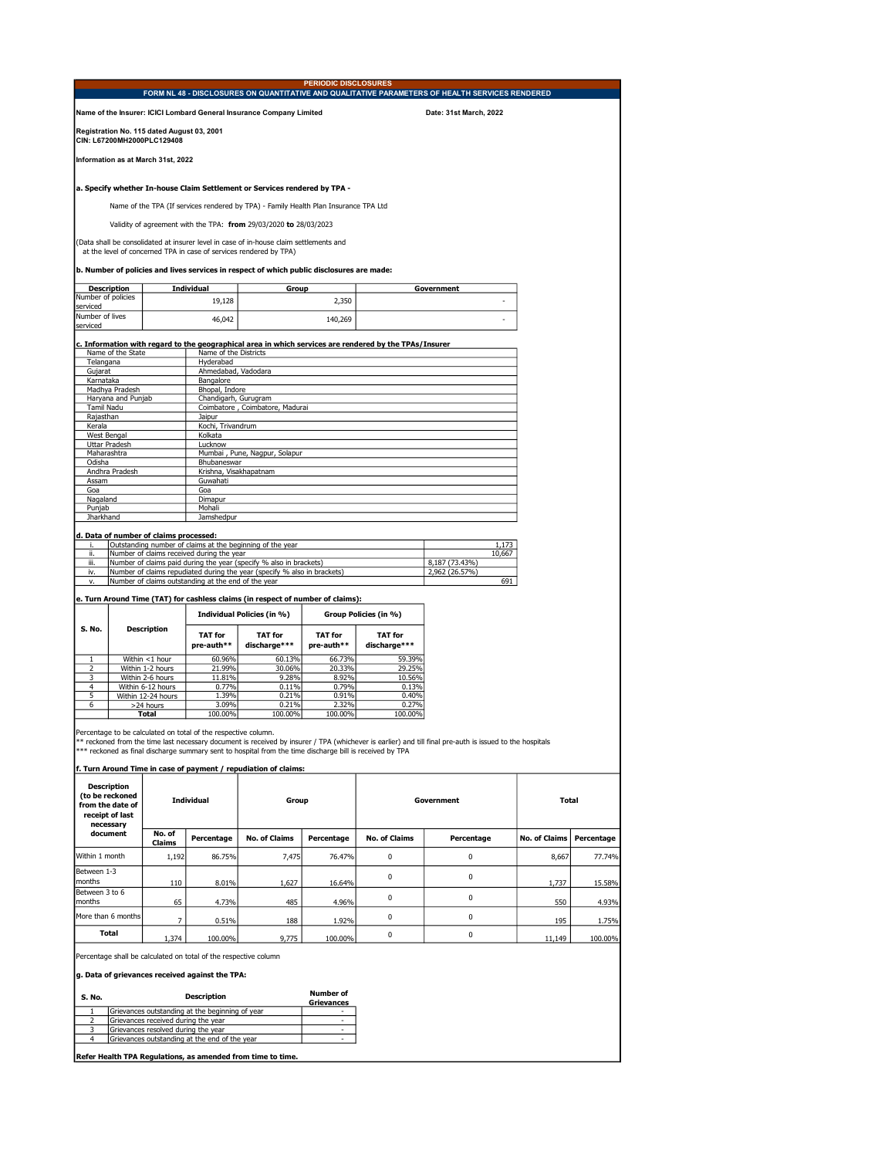|                                                                                      |                                                                    |                                                                                                        | FORM NL 48 - DISCLOSURES ON QUANTITATIVE AND QUALITATIVE PARAMETERS OF HEALTH SERVICES RENDERED |
|--------------------------------------------------------------------------------------|--------------------------------------------------------------------|--------------------------------------------------------------------------------------------------------|-------------------------------------------------------------------------------------------------|
|                                                                                      |                                                                    |                                                                                                        |                                                                                                 |
|                                                                                      |                                                                    | Name of the Insurer: ICICI Lombard General Insurance Company Limited                                   | Date: 31st March, 2022                                                                          |
| Registration No. 115 dated August 03, 2001<br>CIN: L67200MH2000PLC129408             |                                                                    |                                                                                                        |                                                                                                 |
| Information as at March 31st, 2022                                                   |                                                                    |                                                                                                        |                                                                                                 |
|                                                                                      |                                                                    | a. Specify whether In-house Claim Settlement or Services rendered by TPA -                             |                                                                                                 |
|                                                                                      |                                                                    | Name of the TPA (If services rendered by TPA) - Family Health Plan Insurance TPA Ltd                   |                                                                                                 |
|                                                                                      |                                                                    | Validity of agreement with the TPA: from 29/03/2020 to 28/03/2023                                      |                                                                                                 |
|                                                                                      | at the level of concerned TPA in case of services rendered by TPA) | (Data shall be consolidated at insurer level in case of in-house claim settlements and                 |                                                                                                 |
|                                                                                      |                                                                    | b. Number of policies and lives services in respect of which public disclosures are made:              |                                                                                                 |
|                                                                                      | <b>Individual</b>                                                  | Group                                                                                                  | Government                                                                                      |
| <b>Description</b>                                                                   |                                                                    |                                                                                                        |                                                                                                 |
|                                                                                      |                                                                    |                                                                                                        |                                                                                                 |
|                                                                                      | 19.128                                                             | 2,350                                                                                                  |                                                                                                 |
|                                                                                      | 46,042                                                             |                                                                                                        |                                                                                                 |
|                                                                                      |                                                                    | 140,269                                                                                                |                                                                                                 |
|                                                                                      |                                                                    |                                                                                                        |                                                                                                 |
|                                                                                      |                                                                    | c. Information with regard to the geographical area in which services are rendered by the TPAs/Insurer |                                                                                                 |
| Name of the State                                                                    | Name of the Districts                                              |                                                                                                        |                                                                                                 |
| Telangana                                                                            | Hyderabad                                                          |                                                                                                        |                                                                                                 |
| Gujarat                                                                              | Ahmedabad, Vadodara                                                |                                                                                                        |                                                                                                 |
| Karnataka                                                                            | Bangalore                                                          |                                                                                                        |                                                                                                 |
| Madhya Pradesh                                                                       | Bhopal, Indore                                                     |                                                                                                        |                                                                                                 |
| Haryana and Punjab                                                                   | Chandigarh, Gurugram                                               |                                                                                                        |                                                                                                 |
| <b>Tamil Nadu</b>                                                                    |                                                                    | Coimbatore, Coimbatore, Madurai                                                                        |                                                                                                 |
| Rajasthan                                                                            | Jaipur                                                             |                                                                                                        |                                                                                                 |
| Kerala                                                                               | Kochi, Trivandrum                                                  |                                                                                                        |                                                                                                 |
| West Bengal                                                                          | Kolkata                                                            |                                                                                                        |                                                                                                 |
| <b>Uttar Pradesh</b>                                                                 | Lucknow                                                            |                                                                                                        |                                                                                                 |
| Maharashtra                                                                          |                                                                    | Mumbai, Pune, Nagpur, Solapur                                                                          |                                                                                                 |
| Odisha                                                                               | Bhubaneswar                                                        |                                                                                                        |                                                                                                 |
| Andhra Pradesh                                                                       | Krishna, Visakhapatnam                                             |                                                                                                        |                                                                                                 |
| Assam                                                                                | Guwahati                                                           |                                                                                                        |                                                                                                 |
| Goa                                                                                  | Goa                                                                |                                                                                                        |                                                                                                 |
| Nagaland                                                                             | Dimapur                                                            |                                                                                                        |                                                                                                 |
| Number of policies<br>serviced<br>Number of lives<br>serviced<br>Punjab<br>Jharkhand | Mohali<br>Jamshedpur                                               |                                                                                                        |                                                                                                 |

|      | TOutstanding number of claims at the beginning of the year               |                | 1.1/3  |
|------|--------------------------------------------------------------------------|----------------|--------|
| ii.  | Number of claims received during the year                                |                | 10.667 |
| iii. | Number of claims paid during the year (specify % also in brackets)       | 8.187 (73.43%) |        |
| iv.  | Number of claims repudiated during the year (specify % also in brackets) | 2.962 (26.57%) |        |
|      | Number of claims outstanding at the end of the year                      |                | 691    |

## e. Turn Around Time (TAT) for cashless claims (in respect of number of claims):

|        |                    |                              | Individual Policies (in %)     | Group Policies (in %)        |                         |  |
|--------|--------------------|------------------------------|--------------------------------|------------------------------|-------------------------|--|
| S. No. | <b>Description</b> | <b>TAT for</b><br>pre-auth** | <b>TAT for</b><br>discharge*** | <b>TAT for</b><br>pre-auth** | TAT for<br>discharge*** |  |
|        | Within <1 hour     | 60.96%                       | 60.13%                         | 66.73%                       | 59.39%                  |  |
|        | Within 1-2 hours   | 21.99%                       | 30.06%                         | 20.33%                       | 29.25%                  |  |
|        | Within 2-6 hours   | 11.81%                       | 9.28%                          | 8.92%                        | 10.56%                  |  |
|        | Within 6-12 hours  | 0.77%                        | 0.11%                          | 0.79%                        | 0.13%                   |  |
| 5      | Within 12-24 hours | 1.39%                        | 0.21%                          | 0.91%                        | 0.40%                   |  |
| 6      | >24 hours          | 3.09%                        | 0.21%                          | 2.32%                        | 0.27%                   |  |
|        | Total              | 100.00%                      | 100.00%                        | 100.00%                      | 100.00%                 |  |

Percentage to be calculated on total of the respective column.<br>\*\* reckoned from the time last necessary document is received by insurer / TPA (whichever is earlier) and till final pre-auth is issued to the hospitals<br>\*\*\* re

## f. Turn Around Time in case of payment / repudiation of claims:

| <b>Description</b><br>(to be reckoned<br>from the date of<br>receipt of last<br>necessary | <b>Individual</b>       |            | Group                |            | Government           |            | Total                |            |
|-------------------------------------------------------------------------------------------|-------------------------|------------|----------------------|------------|----------------------|------------|----------------------|------------|
| document                                                                                  | No. of<br><b>Claims</b> | Percentage | <b>No. of Claims</b> | Percentage | <b>No. of Claims</b> | Percentage | <b>No. of Claims</b> | Percentage |
| Within 1 month                                                                            | 1,192                   | 86.75%     | 7,475                | 76.47%     | $\Omega$             | 0          | 8,667                | 77.74%     |
| Between 1-3<br>months                                                                     | 110                     | 8.01%      | 1,627                | 16.64%     | $\Omega$             | 0          | 1,737                | 15.58%     |
| Between 3 to 6<br>months                                                                  | 65                      | 4.73%      | 485                  | 4.96%      | $\Omega$             | 0          | 550                  | 4.93%      |
| More than 6 months                                                                        |                         | 0.51%      | 188                  | 1.92%      | $\Omega$             | 0          | 195                  | 1.75%      |
| <b>Total</b>                                                                              | 1.374                   | 100.00%    | 9,775                | 100.00%    | $\Omega$             | 0          | 11,149               | 100.00%    |

Percentage shall be calculated on total of the respective column

g. Data of grievances received against the TPA:

| S. No. | <b>Description</b>                              | <b>Number of</b><br><b>Grievances</b> |
|--------|-------------------------------------------------|---------------------------------------|
|        | Grievances outstanding at the beginning of vear |                                       |
|        | Grievances received during the year             |                                       |
|        | Grievances resolved during the year             | -                                     |
|        | Grievances outstanding at the end of the vear   |                                       |
|        |                                                 |                                       |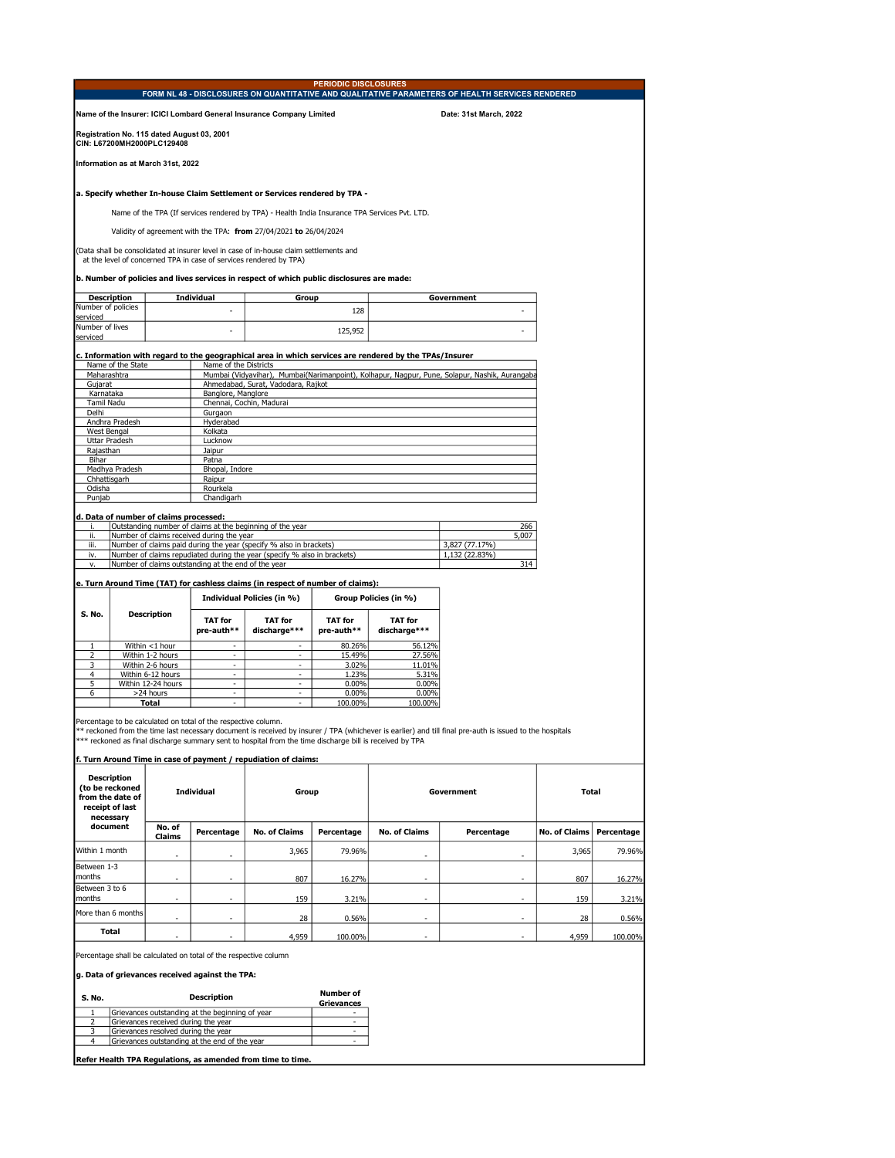|                             |                                                                          |                                                     |                                                                                                                                                                    | <b>PERIODIC DISCLOSURES</b>  |                                                                                                        |                                                                                                 |  |  |
|-----------------------------|--------------------------------------------------------------------------|-----------------------------------------------------|--------------------------------------------------------------------------------------------------------------------------------------------------------------------|------------------------------|--------------------------------------------------------------------------------------------------------|-------------------------------------------------------------------------------------------------|--|--|
|                             |                                                                          |                                                     |                                                                                                                                                                    |                              |                                                                                                        | FORM NL 48 - DISCLOSURES ON QUANTITATIVE AND QUALITATIVE PARAMETERS OF HEALTH SERVICES RENDERED |  |  |
|                             |                                                                          |                                                     | Name of the Insurer: ICICI Lombard General Insurance Company Limited                                                                                               |                              |                                                                                                        | Date: 31st March, 2022                                                                          |  |  |
|                             | Registration No. 115 dated August 03, 2001<br>CIN: L67200MH2000PLC129408 |                                                     |                                                                                                                                                                    |                              |                                                                                                        |                                                                                                 |  |  |
|                             | Information as at March 31st, 2022                                       |                                                     |                                                                                                                                                                    |                              |                                                                                                        |                                                                                                 |  |  |
|                             |                                                                          |                                                     | a. Specify whether In-house Claim Settlement or Services rendered by TPA -                                                                                         |                              |                                                                                                        |                                                                                                 |  |  |
|                             |                                                                          |                                                     | Name of the TPA (If services rendered by TPA) - Health India Insurance TPA Services Pvt. LTD.<br>Validity of agreement with the TPA: from 27/04/2021 to 26/04/2024 |                              |                                                                                                        |                                                                                                 |  |  |
|                             |                                                                          |                                                     | (Data shall be consolidated at insurer level in case of in-house claim settlements and<br>at the level of concerned TPA in case of services rendered by TPA)       |                              |                                                                                                        |                                                                                                 |  |  |
|                             |                                                                          |                                                     | b. Number of policies and lives services in respect of which public disclosures are made:                                                                          |                              |                                                                                                        |                                                                                                 |  |  |
|                             | <b>Description</b>                                                       | <b>Individual</b>                                   | Group                                                                                                                                                              |                              |                                                                                                        | Government                                                                                      |  |  |
| Number of policies          |                                                                          |                                                     |                                                                                                                                                                    | 128                          |                                                                                                        |                                                                                                 |  |  |
| serviced<br>Number of lives |                                                                          |                                                     |                                                                                                                                                                    |                              |                                                                                                        |                                                                                                 |  |  |
| serviced                    |                                                                          | $\overline{a}$                                      |                                                                                                                                                                    | 125,952                      |                                                                                                        |                                                                                                 |  |  |
|                             |                                                                          |                                                     |                                                                                                                                                                    |                              |                                                                                                        |                                                                                                 |  |  |
|                             | Name of the State                                                        | Name of the Districts                               |                                                                                                                                                                    |                              | c. Information with regard to the geographical area in which services are rendered by the TPAs/Insurer |                                                                                                 |  |  |
|                             | Maharashtra                                                              |                                                     |                                                                                                                                                                    |                              |                                                                                                        | Mumbai (Vidyavihar), Mumbai(Narimanpoint), Kolhapur, Nagpur, Pune, Solapur, Nashik, Aurangaba   |  |  |
| Gujarat                     |                                                                          |                                                     | Ahmedabad, Surat, Vadodara, Rajkot                                                                                                                                 |                              |                                                                                                        |                                                                                                 |  |  |
| Karnataka                   |                                                                          | Banglore, Manglore                                  |                                                                                                                                                                    |                              |                                                                                                        |                                                                                                 |  |  |
| <b>Tamil Nadu</b>           |                                                                          |                                                     | Chennai, Cochin, Madurai                                                                                                                                           |                              |                                                                                                        |                                                                                                 |  |  |
| Delhi                       | Andhra Pradesh                                                           | Gurgaon<br>Hyderabad                                |                                                                                                                                                                    |                              |                                                                                                        |                                                                                                 |  |  |
| <b>West Bengal</b>          |                                                                          | Kolkata                                             |                                                                                                                                                                    |                              |                                                                                                        |                                                                                                 |  |  |
|                             | <b>Uttar Pradesh</b>                                                     | Lucknow                                             |                                                                                                                                                                    |                              |                                                                                                        |                                                                                                 |  |  |
| Rajasthan                   |                                                                          | Jaipur                                              |                                                                                                                                                                    |                              |                                                                                                        |                                                                                                 |  |  |
| Bihar                       |                                                                          | Patna                                               |                                                                                                                                                                    |                              |                                                                                                        |                                                                                                 |  |  |
|                             | Madhya Pradesh                                                           | Bhopal, Indore                                      |                                                                                                                                                                    |                              |                                                                                                        |                                                                                                 |  |  |
| Chhattisgarh                |                                                                          | Raipur                                              |                                                                                                                                                                    |                              |                                                                                                        |                                                                                                 |  |  |
| Odisha                      |                                                                          | Rourkela                                            |                                                                                                                                                                    |                              |                                                                                                        |                                                                                                 |  |  |
| Punjab                      |                                                                          | Chandigarh                                          |                                                                                                                                                                    |                              |                                                                                                        |                                                                                                 |  |  |
|                             | d. Data of number of claims processed:                                   |                                                     |                                                                                                                                                                    |                              |                                                                                                        |                                                                                                 |  |  |
| i.                          |                                                                          |                                                     | Outstanding number of claims at the beginning of the year                                                                                                          |                              |                                                                                                        | 266                                                                                             |  |  |
| ii.                         |                                                                          | Number of claims received during the year           |                                                                                                                                                                    |                              |                                                                                                        | 5,007                                                                                           |  |  |
| iii.                        |                                                                          |                                                     | Number of claims paid during the year (specify % also in brackets)                                                                                                 |                              |                                                                                                        | 3,827 (77.17%)                                                                                  |  |  |
| iv.                         |                                                                          |                                                     | Number of claims repudiated during the year (specify % also in brackets)                                                                                           |                              |                                                                                                        | 1,132 (22.83%)                                                                                  |  |  |
| ٧.                          |                                                                          | Number of claims outstanding at the end of the year |                                                                                                                                                                    |                              |                                                                                                        | 314                                                                                             |  |  |
|                             |                                                                          |                                                     | e. Turn Around Time (TAT) for cashless claims (in respect of number of claims):                                                                                    |                              |                                                                                                        |                                                                                                 |  |  |
|                             |                                                                          |                                                     | Individual Policies (in %)                                                                                                                                         |                              | Group Policies (in %)                                                                                  |                                                                                                 |  |  |
| S. No.                      | <b>Description</b>                                                       |                                                     |                                                                                                                                                                    |                              |                                                                                                        |                                                                                                 |  |  |
|                             |                                                                          | <b>TAT</b> for<br>pre-auth**                        | <b>TAT for</b><br>discharge***                                                                                                                                     | <b>TAT for</b><br>pre-auth** | <b>TAT</b> for<br>discharge***                                                                         |                                                                                                 |  |  |
|                             |                                                                          |                                                     |                                                                                                                                                                    |                              |                                                                                                        |                                                                                                 |  |  |
| $\mathbf{1}$                | Within <1 hour                                                           | $\blacksquare$                                      | $\sim$                                                                                                                                                             | 80.26%                       | 56.12%                                                                                                 |                                                                                                 |  |  |
| $\overline{2}$<br>3         | Within 1-2 hours<br>Within 2-6 hours                                     |                                                     |                                                                                                                                                                    | 15.49%<br>3.02%              | 27.56%<br>11.01%                                                                                       |                                                                                                 |  |  |
| 4                           | Within 6-12 hours                                                        | ÷,                                                  | $\blacksquare$                                                                                                                                                     | 1.23%                        | 5.31%                                                                                                  |                                                                                                 |  |  |
| 5                           | Within 12-24 hours                                                       | $\blacksquare$                                      | $\equiv$                                                                                                                                                           | $0.00\%$                     | 0.00%                                                                                                  |                                                                                                 |  |  |
| 6                           | >24 hours                                                                | ÷,                                                  | ÷.                                                                                                                                                                 | 0.00%                        | 0.00%                                                                                                  |                                                                                                 |  |  |
|                             | Total                                                                    |                                                     |                                                                                                                                                                    | 100.00%                      | 100.00%                                                                                                |                                                                                                 |  |  |

Percentage to be calculated on total of the respective column.<br>\*\* reckoned from the time last necessary document is received by insurer / TPA (whichever is earlier) and till final pre-auth is issued to the hospitals<br>\*\*\* re

| f. Turn Around Time in case of payment / repudiation of claims:                           |                          |                          |                      |            |                      |                          |                      |            |
|-------------------------------------------------------------------------------------------|--------------------------|--------------------------|----------------------|------------|----------------------|--------------------------|----------------------|------------|
| <b>Description</b><br>(to be reckoned<br>from the date of<br>receipt of last<br>necessary | <b>Individual</b>        |                          | Group                |            |                      | Government               | <b>Total</b>         |            |
| document                                                                                  | No. of<br>Claims         | Percentage               | <b>No. of Claims</b> | Percentage | <b>No. of Claims</b> | Percentage               | <b>No. of Claims</b> | Percentage |
| Within 1 month                                                                            | $\overline{\phantom{0}}$ | $\overline{\phantom{a}}$ | 3,965                | 79.96%     | -                    |                          | 3,965                | 79.96%     |
| Between 1-3<br>months                                                                     | $\overline{\phantom{0}}$ | $\overline{\phantom{a}}$ | 807                  | 16.27%     | ٠                    | ٠                        | 807                  | 16.27%     |
| Between 3 to 6<br>months                                                                  | $\overline{\phantom{0}}$ | ٠                        | 159                  | 3.21%      | ٠                    |                          | 159                  | 3.21%      |
| More than 6 months                                                                        | ٠                        | $\overline{\phantom{a}}$ | 28                   | 0.56%      | ۰                    | $\overline{\phantom{0}}$ | 28                   | 0.56%      |
| <b>Total</b>                                                                              |                          | $\overline{\phantom{a}}$ | 4,959                | 100.00%    | ٠                    |                          | 4,959                | 100.00%    |

Percentage shall be calculated on total of the respective column

g. Data of grievances received against the TPA:

| S. No. | <b>Description</b>                              | <b>Number of</b><br><b>Grievances</b> |
|--------|-------------------------------------------------|---------------------------------------|
|        | Grievances outstanding at the beginning of year |                                       |
|        | Grievances received during the vear             |                                       |
|        | Grievances resolved during the vear             |                                       |
|        | Grievances outstanding at the end of the year   |                                       |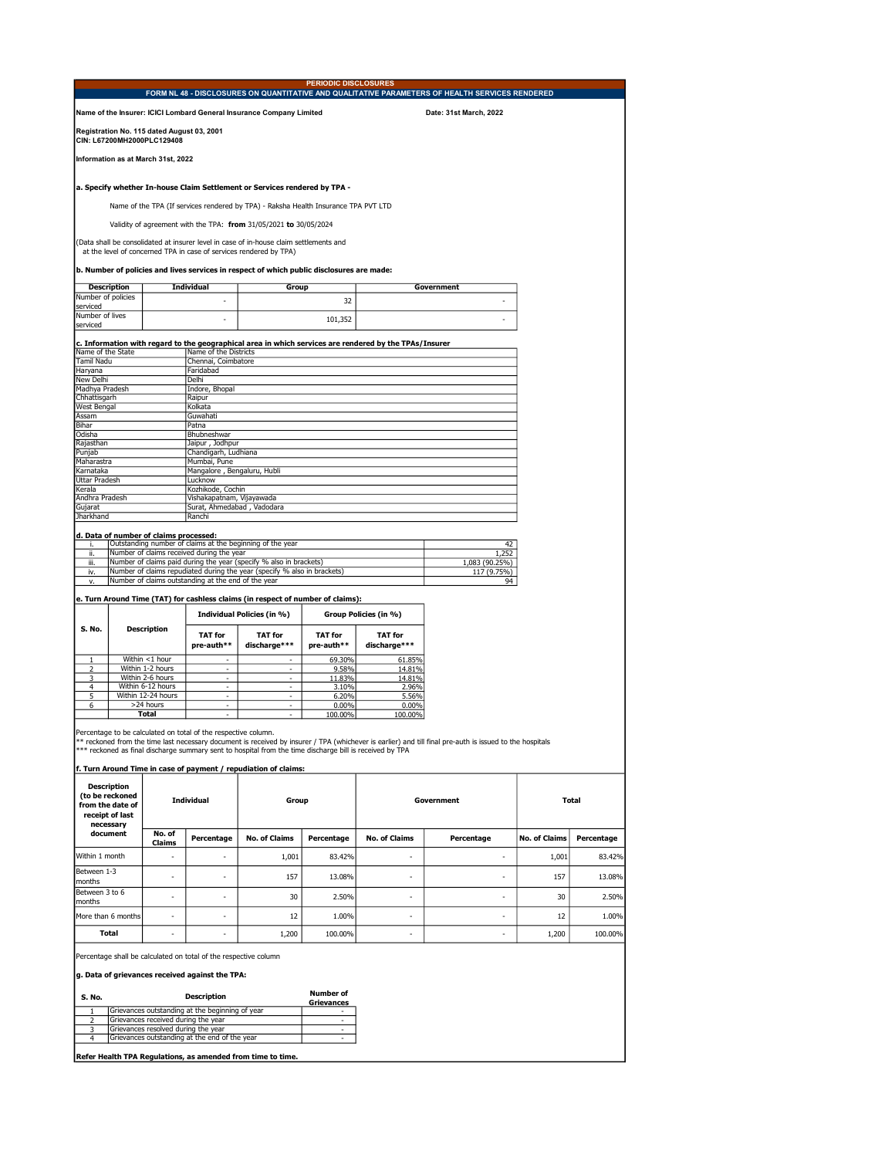|                                                   |                                                                                                     | <b>PERIODIC DISCLOSURES</b>                                                                                                                                                         |                                                                                                 |
|---------------------------------------------------|-----------------------------------------------------------------------------------------------------|-------------------------------------------------------------------------------------------------------------------------------------------------------------------------------------|-------------------------------------------------------------------------------------------------|
|                                                   |                                                                                                     |                                                                                                                                                                                     | FORM NL 48 - DISCLOSURES ON QUANTITATIVE AND QUALITATIVE PARAMETERS OF HEALTH SERVICES RENDERED |
|                                                   | Name of the Insurer: ICICI Lombard General Insurance Company Limited                                |                                                                                                                                                                                     | Date: 31st March, 2022                                                                          |
| CIN: L67200MH2000PLC129408                        | Registration No. 115 dated August 03, 2001                                                          |                                                                                                                                                                                     |                                                                                                 |
| Information as at March 31st, 2022                |                                                                                                     |                                                                                                                                                                                     |                                                                                                 |
|                                                   |                                                                                                     | a. Specify whether In-house Claim Settlement or Services rendered by TPA -                                                                                                          |                                                                                                 |
|                                                   |                                                                                                     | Name of the TPA (If services rendered by TPA) - Raksha Health Insurance TPA PVT LTD                                                                                                 |                                                                                                 |
|                                                   | Validity of agreement with the TPA: from 31/05/2021 to 30/05/2024                                   |                                                                                                                                                                                     |                                                                                                 |
|                                                   | at the level of concerned TPA in case of services rendered by TPA)                                  | (Data shall be consolidated at insurer level in case of in-house claim settlements and<br>b. Number of policies and lives services in respect of which public disclosures are made: |                                                                                                 |
| <b>Description</b>                                | <b>Individual</b>                                                                                   | Group                                                                                                                                                                               | Government                                                                                      |
| Number of policies                                |                                                                                                     |                                                                                                                                                                                     |                                                                                                 |
| serviced                                          |                                                                                                     | 32                                                                                                                                                                                  |                                                                                                 |
| Number of lives                                   | ۵                                                                                                   |                                                                                                                                                                                     |                                                                                                 |
| serviced                                          |                                                                                                     | 101,352                                                                                                                                                                             |                                                                                                 |
| Name of the State<br><b>Tamil Nadu</b><br>Haryana | Name of the Districts<br>Chennai, Coimbatore<br>Faridabad                                           |                                                                                                                                                                                     |                                                                                                 |
| <b>New Delhi</b>                                  | Delhi                                                                                               |                                                                                                                                                                                     |                                                                                                 |
| Madhya Pradesh                                    | Indore, Bhopal                                                                                      |                                                                                                                                                                                     |                                                                                                 |
| Chhattisgarh                                      | Raipur                                                                                              |                                                                                                                                                                                     |                                                                                                 |
| <b>West Bengal</b>                                | Kolkata                                                                                             |                                                                                                                                                                                     |                                                                                                 |
| Assam                                             | Guwahati                                                                                            |                                                                                                                                                                                     |                                                                                                 |
| Bihar<br>Odisha                                   | Patna                                                                                               |                                                                                                                                                                                     |                                                                                                 |
| Rajasthan                                         | Bhubneshwar                                                                                         |                                                                                                                                                                                     |                                                                                                 |
| Punjab                                            | Jaipur, Jodhpur<br>Chandigarh, Ludhiana                                                             |                                                                                                                                                                                     |                                                                                                 |
| Maharastra                                        | Mumbai, Pune                                                                                        |                                                                                                                                                                                     |                                                                                                 |
| Karnataka                                         | Mangalore, Bengaluru, Hubli                                                                         |                                                                                                                                                                                     |                                                                                                 |
| <b>Uttar Pradesh</b>                              | Lucknow                                                                                             |                                                                                                                                                                                     |                                                                                                 |
| Kerala                                            | Kozhikode, Cochin                                                                                   |                                                                                                                                                                                     |                                                                                                 |
| Andhra Pradesh                                    | Vishakapatnam, Vijayawada                                                                           |                                                                                                                                                                                     |                                                                                                 |
| Gujarat                                           | Surat, Ahmedabad, Vadodara                                                                          |                                                                                                                                                                                     |                                                                                                 |
| <b>Jharkhand</b>                                  | Ranchi                                                                                              |                                                                                                                                                                                     |                                                                                                 |
|                                                   |                                                                                                     |                                                                                                                                                                                     |                                                                                                 |
| i.                                                | d. Data of number of claims processed:<br>Outstanding number of claims at the beginning of the year |                                                                                                                                                                                     | 42                                                                                              |
| ii.                                               | Number of claims received during the year                                                           |                                                                                                                                                                                     | 1.252                                                                                           |
| iii.                                              | Number of claims paid during the year (specify % also in brackets)                                  |                                                                                                                                                                                     | 1,083 (90.25%)                                                                                  |
| iv.                                               |                                                                                                     | Number of claims repudiated during the year (specify % also in brackets)                                                                                                            | 117 (9.75%)                                                                                     |
| v.                                                | Number of claims outstanding at the end of the year                                                 |                                                                                                                                                                                     | 94                                                                                              |
|                                                   |                                                                                                     |                                                                                                                                                                                     |                                                                                                 |
|                                                   |                                                                                                     | e. Turn Around Time (TAT) for cashless claims (in respect of number of claims):                                                                                                     |                                                                                                 |

|        |                    |                              | Individual Policies (in %)     |                              | Group Policies (in %)          |
|--------|--------------------|------------------------------|--------------------------------|------------------------------|--------------------------------|
| S. No. | <b>Description</b> | <b>TAT for</b><br>pre-auth** | <b>TAT for</b><br>discharge*** | <b>TAT for</b><br>pre-auth** | <b>TAT for</b><br>discharge*** |
|        | Within <1 hour     | ۰                            | ۰                              | 69.30%                       | 61.85%                         |
| ͻ      | Within 1-2 hours   | -                            | ۰                              | 9.58%                        | 14.81%                         |
|        | Within 2-6 hours   | ۰                            | ۰                              | 11.83%                       | 14.81%                         |
|        | Within 6-12 hours  | ۰                            | ۰                              | 3.10%                        | 2.96%                          |
| 5      | Within 12-24 hours | -                            | ۰                              | 6.20%                        | 5.56%                          |
| 6      | >24 hours          | ۰                            | ۰                              | 0.00%                        | 0.00%                          |
|        | Total              | ۰                            | ۰                              | 100.00%                      | 100.00%                        |

Percentage to be calculated on total of the respective column.<br>\*\* reckoned from the time last necessary document is received by insurer / TPA (whichever is earlier) and till final pre-auth is issued to the hospitals<br>\*\*\* re

| f. Turn Around Time in case of payment / repudiation of claims:                           |                   |                          |                      |            |                      |                          |                      |            |
|-------------------------------------------------------------------------------------------|-------------------|--------------------------|----------------------|------------|----------------------|--------------------------|----------------------|------------|
| <b>Description</b><br>(to be reckoned<br>from the date of<br>receipt of last<br>necessary | <b>Individual</b> |                          | Group                |            |                      | Government               | Total                |            |
| document                                                                                  | No. of<br>Claims  | Percentage               | <b>No. of Claims</b> | Percentage | <b>No. of Claims</b> | Percentage               | <b>No. of Claims</b> | Percentage |
| Within 1 month                                                                            | ٠                 | $\overline{\phantom{a}}$ | 1,001                | 83.42%     | ۰                    | ۰                        | 1,001                | 83.42%     |
| Between 1-3<br>months                                                                     | ٠                 | $\overline{\phantom{a}}$ | 157                  | 13.08%     | ۰.                   | $\overline{\phantom{a}}$ | 157                  | 13.08%     |
| Between 3 to 6<br>months                                                                  | ٠                 | $\overline{\phantom{a}}$ | 30                   | 2.50%      | ۰                    | $\overline{\phantom{a}}$ | 30                   | 2.50%      |
| More than 6 months                                                                        | ٠                 | $\overline{\phantom{a}}$ | 12                   | 1.00%      | ۰                    | $\overline{\phantom{a}}$ | 12                   | 1.00%      |
| <b>Total</b>                                                                              | ٠                 | $\overline{\phantom{a}}$ | 1,200                | 100.00%    | ۰                    | $\overline{\phantom{a}}$ | 1,200                | 100.00%    |

Percentage shall be calculated on total of the respective column

g. Data of grievances received against the TPA:

| S. No. | <b>Description</b>                              | <b>Number of</b><br><b>Grievances</b> |
|--------|-------------------------------------------------|---------------------------------------|
|        | Grievances outstanding at the beginning of year |                                       |
|        | Grievances received during the year             |                                       |
|        | Grievances resolved during the year             |                                       |
|        | Grievances outstanding at the end of the year   |                                       |
|        |                                                 |                                       |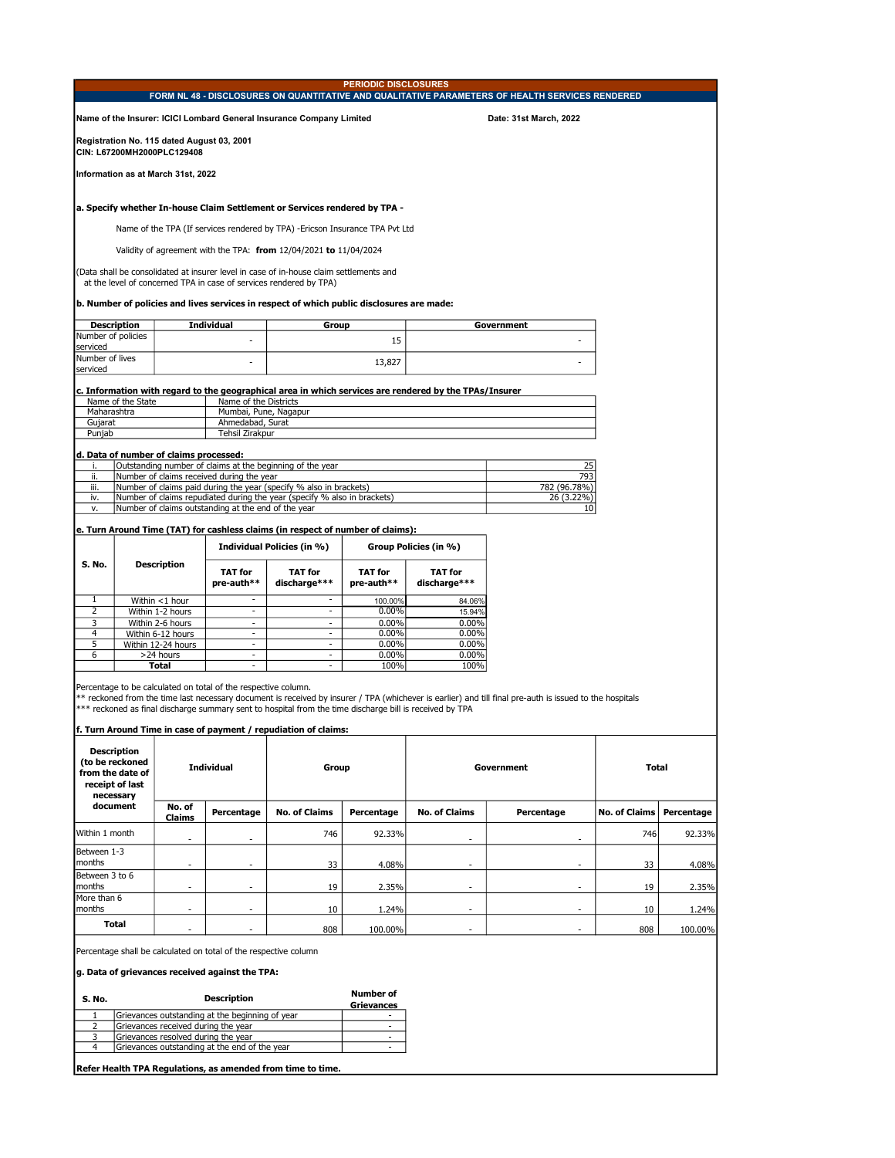|                             |                                    |                                                                          |                                                                  |                                                                                                                                                                             |                                |                                                                                                        | FORM NL 48 - DISCLOSURES ON QUANTITATIVE AND QUALITATIVE PARAMETERS OF HEALTH SERVICES RENDERED                                                          |                      |            |
|-----------------------------|------------------------------------|--------------------------------------------------------------------------|------------------------------------------------------------------|-----------------------------------------------------------------------------------------------------------------------------------------------------------------------------|--------------------------------|--------------------------------------------------------------------------------------------------------|----------------------------------------------------------------------------------------------------------------------------------------------------------|----------------------|------------|
|                             |                                    |                                                                          |                                                                  | Name of the Insurer: ICICI Lombard General Insurance Company Limited                                                                                                        |                                |                                                                                                        | Date: 31st March, 2022                                                                                                                                   |                      |            |
|                             |                                    | Registration No. 115 dated August 03, 2001<br>CIN: L67200MH2000PLC129408 |                                                                  |                                                                                                                                                                             |                                |                                                                                                        |                                                                                                                                                          |                      |            |
|                             |                                    | Information as at March 31st, 2022                                       |                                                                  |                                                                                                                                                                             |                                |                                                                                                        |                                                                                                                                                          |                      |            |
|                             |                                    |                                                                          |                                                                  | a. Specify whether In-house Claim Settlement or Services rendered by TPA -                                                                                                  |                                |                                                                                                        |                                                                                                                                                          |                      |            |
|                             |                                    |                                                                          |                                                                  | Name of the TPA (If services rendered by TPA) -Ericson Insurance TPA Pvt Ltd                                                                                                |                                |                                                                                                        |                                                                                                                                                          |                      |            |
|                             |                                    |                                                                          |                                                                  | Validity of agreement with the TPA: from $12/04/2021$ to $11/04/2024$                                                                                                       |                                |                                                                                                        |                                                                                                                                                          |                      |            |
|                             |                                    |                                                                          |                                                                  |                                                                                                                                                                             |                                |                                                                                                        |                                                                                                                                                          |                      |            |
|                             |                                    |                                                                          |                                                                  | (Data shall be consolidated at insurer level in case of in-house claim settlements and<br>at the level of concerned TPA in case of services rendered by TPA)                |                                |                                                                                                        |                                                                                                                                                          |                      |            |
|                             |                                    |                                                                          |                                                                  | b. Number of policies and lives services in respect of which public disclosures are made:                                                                                   |                                |                                                                                                        |                                                                                                                                                          |                      |            |
| Number of policies          | <b>Description</b>                 |                                                                          | <b>Individual</b>                                                | Group                                                                                                                                                                       |                                |                                                                                                        | Government                                                                                                                                               |                      |            |
| serviced                    |                                    |                                                                          |                                                                  |                                                                                                                                                                             | 15                             |                                                                                                        |                                                                                                                                                          |                      |            |
| Number of lives<br>serviced |                                    |                                                                          |                                                                  |                                                                                                                                                                             | 13,827                         |                                                                                                        |                                                                                                                                                          |                      |            |
|                             |                                    |                                                                          |                                                                  |                                                                                                                                                                             |                                | c. Information with regard to the geographical area in which services are rendered by the TPAs/Insurer |                                                                                                                                                          |                      |            |
|                             | Name of the State                  |                                                                          | Name of the Districts<br>Mumbai, Pune, Nagapur                   |                                                                                                                                                                             |                                |                                                                                                        |                                                                                                                                                          |                      |            |
| Maharashtra<br>Gujarat      |                                    |                                                                          | Ahmedabad, Surat                                                 |                                                                                                                                                                             |                                |                                                                                                        |                                                                                                                                                          |                      |            |
| Punjab                      |                                    |                                                                          | Tehsil Zirakpur                                                  |                                                                                                                                                                             |                                |                                                                                                        |                                                                                                                                                          |                      |            |
|                             |                                    | d. Data of number of claims processed:                                   |                                                                  |                                                                                                                                                                             |                                |                                                                                                        |                                                                                                                                                          |                      |            |
| i.                          |                                    |                                                                          |                                                                  | Outstanding number of claims at the beginning of the year                                                                                                                   |                                |                                                                                                        | 25                                                                                                                                                       |                      |            |
| ii.<br>iii.                 |                                    |                                                                          | Number of claims received during the year                        | Number of claims paid during the year (specify % also in brackets)                                                                                                          |                                |                                                                                                        | 793<br>782 (96.78%)                                                                                                                                      |                      |            |
| iv.                         |                                    |                                                                          |                                                                  | Number of claims repudiated during the year (specify % also in brackets)                                                                                                    |                                |                                                                                                        | 26 (3.22%)                                                                                                                                               |                      |            |
| ٧.                          |                                    |                                                                          | Number of claims outstanding at the end of the year              |                                                                                                                                                                             |                                |                                                                                                        | 10                                                                                                                                                       |                      |            |
|                             |                                    |                                                                          |                                                                  | e. Turn Around Time (TAT) for cashless claims (in respect of number of claims):                                                                                             |                                |                                                                                                        |                                                                                                                                                          |                      |            |
|                             |                                    |                                                                          |                                                                  | Individual Policies (in %)                                                                                                                                                  |                                | Group Policies (in %)                                                                                  |                                                                                                                                                          |                      |            |
| S. No.                      |                                    | <b>Description</b>                                                       |                                                                  |                                                                                                                                                                             |                                |                                                                                                        |                                                                                                                                                          |                      |            |
|                             |                                    |                                                                          | <b>TAT for</b><br>pre-auth**                                     | <b>TAT for</b><br>discharge***                                                                                                                                              | <b>TAT for</b><br>pre-auth**   | <b>TAT for</b><br>discharge***                                                                         |                                                                                                                                                          |                      |            |
| 1                           |                                    | Within <1 hour                                                           | ×.                                                               |                                                                                                                                                                             | 100.00%                        | 84.06%                                                                                                 |                                                                                                                                                          |                      |            |
| $\overline{2}$<br>3         |                                    | Within 1-2 hours<br>Within 2-6 hours                                     | $\overline{\phantom{a}}$<br>$\sim$                               | $\overline{\phantom{a}}$<br>÷.                                                                                                                                              | $0.00\%$<br>0.00%              | 15.94%<br>0.00%                                                                                        |                                                                                                                                                          |                      |            |
| 4                           |                                    | Within 6-12 hours                                                        | $\sim$                                                           | $\overline{\phantom{a}}$                                                                                                                                                    | 0.00%                          | 0.00%                                                                                                  |                                                                                                                                                          |                      |            |
| 5                           |                                    | Within 12-24 hours                                                       | $\mathcal{L}$                                                    | ×.                                                                                                                                                                          | 0.00%                          | 0.00%                                                                                                  |                                                                                                                                                          |                      |            |
| 6                           |                                    | >24 hours<br>Total                                                       | $\sim$<br>÷                                                      | $\overline{\phantom{a}}$<br>×.                                                                                                                                              | 0.00%<br>100%                  | 0.00%<br>100%                                                                                          |                                                                                                                                                          |                      |            |
|                             |                                    |                                                                          | Percentage to be calculated on total of the respective column.   | *** reckoned as final discharge summary sent to hospital from the time discharge bill is received by TPA<br>f. Turn Around Time in case of payment / repudiation of claims: |                                |                                                                                                        | ** reckoned from the time last necessary document is received by insurer / TPA (whichever is earlier) and till final pre-auth is issued to the hospitals |                      |            |
|                             | Description                        |                                                                          |                                                                  |                                                                                                                                                                             |                                |                                                                                                        |                                                                                                                                                          |                      |            |
| from the date of            | (to be reckoned<br>receipt of last |                                                                          | <b>Individual</b>                                                | Group                                                                                                                                                                       |                                |                                                                                                        | Government                                                                                                                                               | Total                |            |
|                             | necessary<br>document              | No. of                                                                   | Percentage                                                       | <b>No. of Claims</b>                                                                                                                                                        | Percentage                     | <b>No. of Claims</b>                                                                                   | Percentage                                                                                                                                               | <b>No. of Claims</b> | Percentage |
| Within 1 month              |                                    | Claims                                                                   |                                                                  | 746                                                                                                                                                                         | 92.33%                         |                                                                                                        |                                                                                                                                                          | 746                  | 92.33%     |
| Between 1-3                 |                                    | ٠                                                                        |                                                                  |                                                                                                                                                                             |                                | ٠                                                                                                      |                                                                                                                                                          |                      |            |
| months<br>Between 3 to 6    |                                    |                                                                          |                                                                  | 33                                                                                                                                                                          | 4.08%                          |                                                                                                        |                                                                                                                                                          | 33                   | 4.08%      |
| months<br>More than 6       |                                    | $\overline{\phantom{m}}$                                                 | $\frac{1}{2}$                                                    | 19                                                                                                                                                                          | 2.35%                          | ٠                                                                                                      | $\overline{\phantom{a}}$                                                                                                                                 | 19                   | 2.35%      |
| months                      | Total                              | ٠                                                                        | ٠                                                                | 10                                                                                                                                                                          | 1.24%                          | ٠                                                                                                      | ٠                                                                                                                                                        | 10                   | 1.24%      |
|                             |                                    |                                                                          |                                                                  | 808                                                                                                                                                                         | 100.00%                        | $\sim$                                                                                                 |                                                                                                                                                          | 808                  | 100.00%    |
|                             |                                    |                                                                          | Percentage shall be calculated on total of the respective column |                                                                                                                                                                             |                                |                                                                                                        |                                                                                                                                                          |                      |            |
|                             |                                    |                                                                          | g. Data of grievances received against the TPA:                  |                                                                                                                                                                             |                                |                                                                                                        |                                                                                                                                                          |                      |            |
| S. No.                      |                                    |                                                                          | <b>Description</b>                                               |                                                                                                                                                                             | <b>Number of</b>               |                                                                                                        |                                                                                                                                                          |                      |            |
| 1                           |                                    |                                                                          | Grievances outstanding at the beginning of year                  |                                                                                                                                                                             | <b>Grievances</b><br>۰         |                                                                                                        |                                                                                                                                                          |                      |            |
| 2                           |                                    | Grievances received during the year                                      |                                                                  |                                                                                                                                                                             | ×.                             |                                                                                                        |                                                                                                                                                          |                      |            |
| 3<br>4                      |                                    | Grievances resolved during the year                                      | Grievances outstanding at the end of the year                    |                                                                                                                                                                             | $\overline{\phantom{a}}$<br>×. |                                                                                                        |                                                                                                                                                          |                      |            |
|                             |                                    |                                                                          |                                                                  |                                                                                                                                                                             |                                |                                                                                                        |                                                                                                                                                          |                      |            |
|                             |                                    |                                                                          |                                                                  | Refer Health TPA Regulations, as amended from time to time.                                                                                                                 |                                |                                                                                                        |                                                                                                                                                          |                      |            |
|                             |                                    |                                                                          |                                                                  |                                                                                                                                                                             |                                |                                                                                                        |                                                                                                                                                          |                      |            |

PERIODIC DISCLOSURES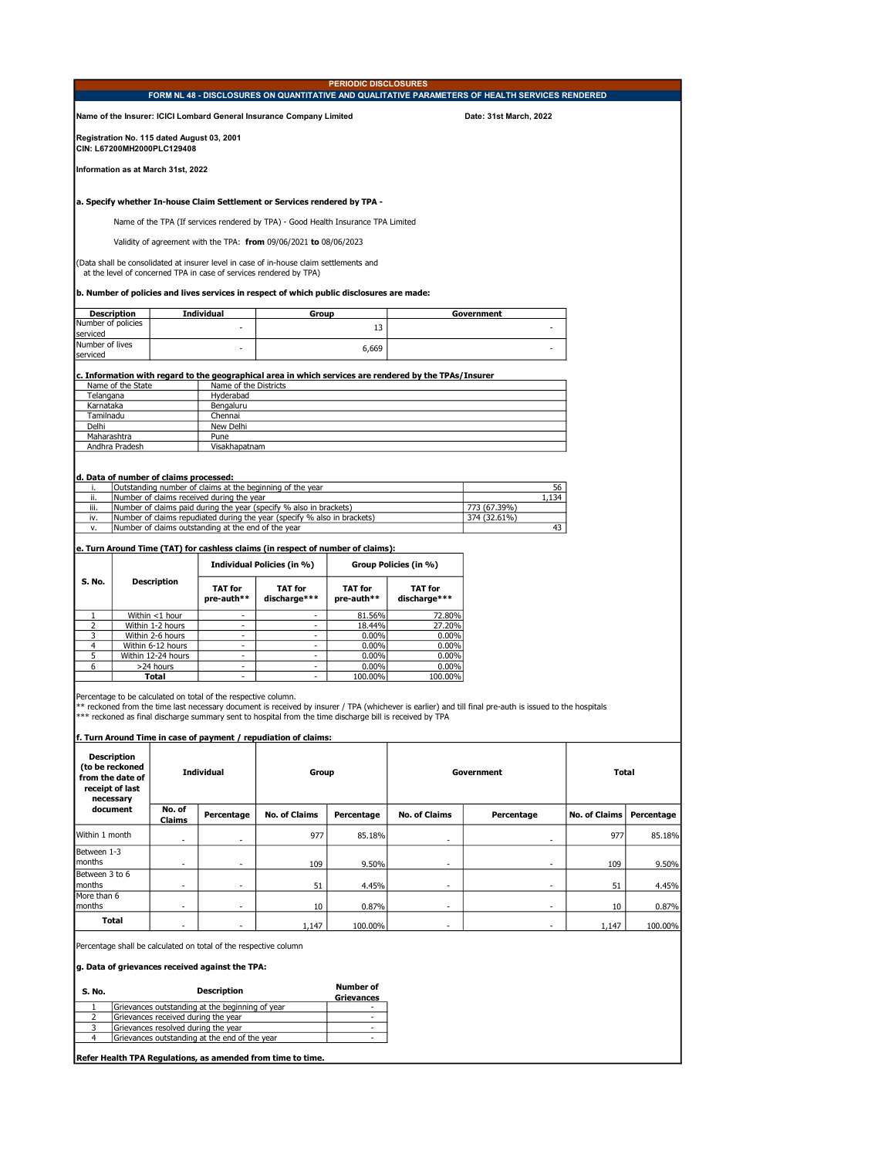|                                |                                                                                           |                                                                          |                                                                                                                     |                                                                                                                                                                                    | <b>PERIODIC DISCLOSURES</b> |                                                                                                        | FORM NL 48 - DISCLOSURES ON QUANTITATIVE AND QUALITATIVE PARAMETERS OF HEALTH SERVICES RENDERED                                                          |                      |            |
|--------------------------------|-------------------------------------------------------------------------------------------|--------------------------------------------------------------------------|---------------------------------------------------------------------------------------------------------------------|------------------------------------------------------------------------------------------------------------------------------------------------------------------------------------|-----------------------------|--------------------------------------------------------------------------------------------------------|----------------------------------------------------------------------------------------------------------------------------------------------------------|----------------------|------------|
|                                |                                                                                           |                                                                          |                                                                                                                     | Name of the Insurer: ICICI Lombard General Insurance Company Limited                                                                                                               |                             |                                                                                                        | Date: 31st March, 2022                                                                                                                                   |                      |            |
|                                |                                                                                           | Registration No. 115 dated August 03, 2001<br>CIN: L67200MH2000PLC129408 |                                                                                                                     |                                                                                                                                                                                    |                             |                                                                                                        |                                                                                                                                                          |                      |            |
|                                |                                                                                           | Information as at March 31st, 2022                                       |                                                                                                                     |                                                                                                                                                                                    |                             |                                                                                                        |                                                                                                                                                          |                      |            |
|                                |                                                                                           |                                                                          |                                                                                                                     | a. Specify whether In-house Claim Settlement or Services rendered by TPA -                                                                                                         |                             |                                                                                                        |                                                                                                                                                          |                      |            |
|                                |                                                                                           |                                                                          |                                                                                                                     | Name of the TPA (If services rendered by TPA) - Good Health Insurance TPA Limited                                                                                                  |                             |                                                                                                        |                                                                                                                                                          |                      |            |
|                                |                                                                                           |                                                                          |                                                                                                                     | Validity of agreement with the TPA: from 09/06/2021 to 08/06/2023                                                                                                                  |                             |                                                                                                        |                                                                                                                                                          |                      |            |
|                                |                                                                                           |                                                                          |                                                                                                                     | (Data shall be consolidated at insurer level in case of in-house claim settlements and                                                                                             |                             |                                                                                                        |                                                                                                                                                          |                      |            |
|                                |                                                                                           |                                                                          |                                                                                                                     | at the level of concerned TPA in case of services rendered by TPA)                                                                                                                 |                             |                                                                                                        |                                                                                                                                                          |                      |            |
|                                |                                                                                           |                                                                          |                                                                                                                     | b. Number of policies and lives services in respect of which public disclosures are made:                                                                                          |                             |                                                                                                        |                                                                                                                                                          |                      |            |
|                                | <b>Description</b>                                                                        |                                                                          | Individual                                                                                                          | Group                                                                                                                                                                              |                             |                                                                                                        | Government                                                                                                                                               |                      |            |
| Number of policies<br>serviced |                                                                                           |                                                                          |                                                                                                                     |                                                                                                                                                                                    | 13                          |                                                                                                        |                                                                                                                                                          |                      |            |
| Number of lives<br>serviced    |                                                                                           |                                                                          |                                                                                                                     |                                                                                                                                                                                    | 6,669                       |                                                                                                        |                                                                                                                                                          |                      |            |
|                                |                                                                                           |                                                                          |                                                                                                                     |                                                                                                                                                                                    |                             | c. Information with regard to the geographical area in which services are rendered by the TPAs/Insurer |                                                                                                                                                          |                      |            |
|                                | Name of the State                                                                         |                                                                          | Name of the Districts                                                                                               |                                                                                                                                                                                    |                             |                                                                                                        |                                                                                                                                                          |                      |            |
| Telangana<br>Karnataka         |                                                                                           |                                                                          | Hyderabad<br>Bengaluru                                                                                              |                                                                                                                                                                                    |                             |                                                                                                        |                                                                                                                                                          |                      |            |
| Tamilnadu                      |                                                                                           |                                                                          | Chennai                                                                                                             |                                                                                                                                                                                    |                             |                                                                                                        |                                                                                                                                                          |                      |            |
| Delhi<br>Maharashtra           |                                                                                           |                                                                          | New Delhi<br>Pune                                                                                                   |                                                                                                                                                                                    |                             |                                                                                                        |                                                                                                                                                          |                      |            |
|                                | Andhra Pradesh                                                                            |                                                                          | Visakhapatnam                                                                                                       |                                                                                                                                                                                    |                             |                                                                                                        |                                                                                                                                                          |                      |            |
|                                |                                                                                           |                                                                          |                                                                                                                     |                                                                                                                                                                                    |                             |                                                                                                        |                                                                                                                                                          |                      |            |
|                                |                                                                                           | d. Data of number of claims processed:                                   |                                                                                                                     | Outstanding number of claims at the beginning of the year                                                                                                                          |                             |                                                                                                        | 56                                                                                                                                                       |                      |            |
| ii.<br>iii.                    |                                                                                           |                                                                          | Number of claims received during the year                                                                           | Number of claims paid during the year (specify % also in brackets)                                                                                                                 |                             |                                                                                                        | 1,134<br>773 (67.39%)                                                                                                                                    |                      |            |
| iv.                            |                                                                                           |                                                                          |                                                                                                                     | Number of claims repudiated during the year (specify % also in brackets)                                                                                                           |                             |                                                                                                        | 374 (32.61%)                                                                                                                                             |                      |            |
| ٧.                             |                                                                                           |                                                                          | Number of claims outstanding at the end of the year                                                                 |                                                                                                                                                                                    |                             |                                                                                                        | 43                                                                                                                                                       |                      |            |
|                                |                                                                                           |                                                                          |                                                                                                                     | e. Turn Around Time (TAT) for cashless claims (in respect of number of claims):                                                                                                    |                             |                                                                                                        |                                                                                                                                                          |                      |            |
|                                |                                                                                           |                                                                          |                                                                                                                     | Individual Policies (in %)                                                                                                                                                         |                             | Group Policies (in %)                                                                                  |                                                                                                                                                          |                      |            |
| S. No.                         |                                                                                           | <b>Description</b>                                                       | TAT for<br>pre-auth**                                                                                               | TAT for<br>discharge***                                                                                                                                                            | TAT for<br>pre-auth**       | TAT for<br>discharge***                                                                                |                                                                                                                                                          |                      |            |
| 1                              |                                                                                           | Within <1 hour                                                           |                                                                                                                     |                                                                                                                                                                                    | 81.56%                      | 72.80%                                                                                                 |                                                                                                                                                          |                      |            |
| 2                              |                                                                                           | Within 1-2 hours                                                         | $\overline{a}$                                                                                                      | $\overline{a}$                                                                                                                                                                     | 18.44%                      | 27.20%                                                                                                 |                                                                                                                                                          |                      |            |
| 3<br>$\overline{4}$            |                                                                                           | Within 2-6 hours<br>Within 6-12 hours                                    | $\overline{a}$<br>$\overline{a}$                                                                                    | $\overline{a}$<br>$\overline{\phantom{a}}$                                                                                                                                         | 0.00%<br>0.00%              | 0.00%<br>0.00%                                                                                         |                                                                                                                                                          |                      |            |
| 5                              |                                                                                           | Within 12-24 hours                                                       | $\overline{\phantom{0}}$                                                                                            | $\overline{\phantom{a}}$                                                                                                                                                           | $0.00\%$                    | $0.00\%$                                                                                               |                                                                                                                                                          |                      |            |
| 6                              |                                                                                           | >24 hours<br>Total                                                       | $\overline{a}$<br>$\blacksquare$                                                                                    | $\overline{a}$<br>$\blacksquare$                                                                                                                                                   | 0.00%<br>100.00%            | $0.00\%$<br>100.00%                                                                                    |                                                                                                                                                          |                      |            |
|                                |                                                                                           |                                                                          | Percentage to be calculated on total of the respective column.                                                      | *** reckoned as final discharge summary sent to hospital from the time discharge bill is received by TPA<br><u>f. Turn Around Time in case of payment / repudiation of claims:</u> |                             |                                                                                                        | ** reckoned from the time last necessary document is received by insurer / TPA (whichever is earlier) and till final pre-auth is issued to the hospitals |                      |            |
|                                | <b>Description</b><br>(to be reckoned<br>from the date of<br>receipt of last<br>necessary |                                                                          | <b>Individual</b>                                                                                                   | Group                                                                                                                                                                              |                             |                                                                                                        | Government                                                                                                                                               | Total                |            |
|                                | document                                                                                  | No. of<br>Claims                                                         | Percentage                                                                                                          | <b>No. of Claims</b>                                                                                                                                                               | Percentage                  | <b>No. of Claims</b>                                                                                   | Percentage                                                                                                                                               | <b>No. of Claims</b> | Percentage |
| Within 1 month                 |                                                                                           | $\overline{\phantom{a}}$                                                 | $\overline{a}$                                                                                                      | 977                                                                                                                                                                                | 85.18%                      | $\overline{\phantom{a}}$                                                                               | $\overline{\phantom{a}}$                                                                                                                                 | 977                  | 85.18%     |
| Between 1-3<br>months          |                                                                                           |                                                                          | L,                                                                                                                  | 109                                                                                                                                                                                | 9.50%                       | $\overline{a}$                                                                                         |                                                                                                                                                          | 109                  | 9.50%      |
| Between 3 to 6<br>months       |                                                                                           |                                                                          | L,                                                                                                                  | 51                                                                                                                                                                                 | 4.45%                       | $\overline{a}$                                                                                         |                                                                                                                                                          | 51                   | 4.45%      |
| More than 6                    |                                                                                           |                                                                          |                                                                                                                     |                                                                                                                                                                                    |                             |                                                                                                        |                                                                                                                                                          |                      |            |
| months                         | <b>Total</b>                                                                              |                                                                          |                                                                                                                     | 10                                                                                                                                                                                 | 0.87%                       |                                                                                                        |                                                                                                                                                          | 10                   | 0.87%      |
|                                |                                                                                           |                                                                          |                                                                                                                     | 1,147                                                                                                                                                                              | 100.00%                     |                                                                                                        |                                                                                                                                                          | 1,147                | 100.00%    |
|                                |                                                                                           |                                                                          | Percentage shall be calculated on total of the respective column<br>g. Data of grievances received against the TPA: |                                                                                                                                                                                    |                             |                                                                                                        |                                                                                                                                                          |                      |            |
| S. No.                         |                                                                                           |                                                                          | <b>Description</b>                                                                                                  |                                                                                                                                                                                    | <b>Number of</b>            |                                                                                                        |                                                                                                                                                          |                      |            |
| $\mathbf{1}$                   |                                                                                           |                                                                          | Grievances outstanding at the beginning of year                                                                     |                                                                                                                                                                                    | <b>Grievances</b>           |                                                                                                        |                                                                                                                                                          |                      |            |
| 2                              |                                                                                           | Grievances received during the year                                      |                                                                                                                     |                                                                                                                                                                                    | $\overline{a}$              |                                                                                                        |                                                                                                                                                          |                      |            |
| 3<br>4                         |                                                                                           | Grievances resolved during the year                                      | Grievances outstanding at the end of the year                                                                       |                                                                                                                                                                                    | $\sim$                      |                                                                                                        |                                                                                                                                                          |                      |            |
|                                |                                                                                           |                                                                          |                                                                                                                     | Refer Health TPA Regulations, as amended from time to time.                                                                                                                        |                             |                                                                                                        |                                                                                                                                                          |                      |            |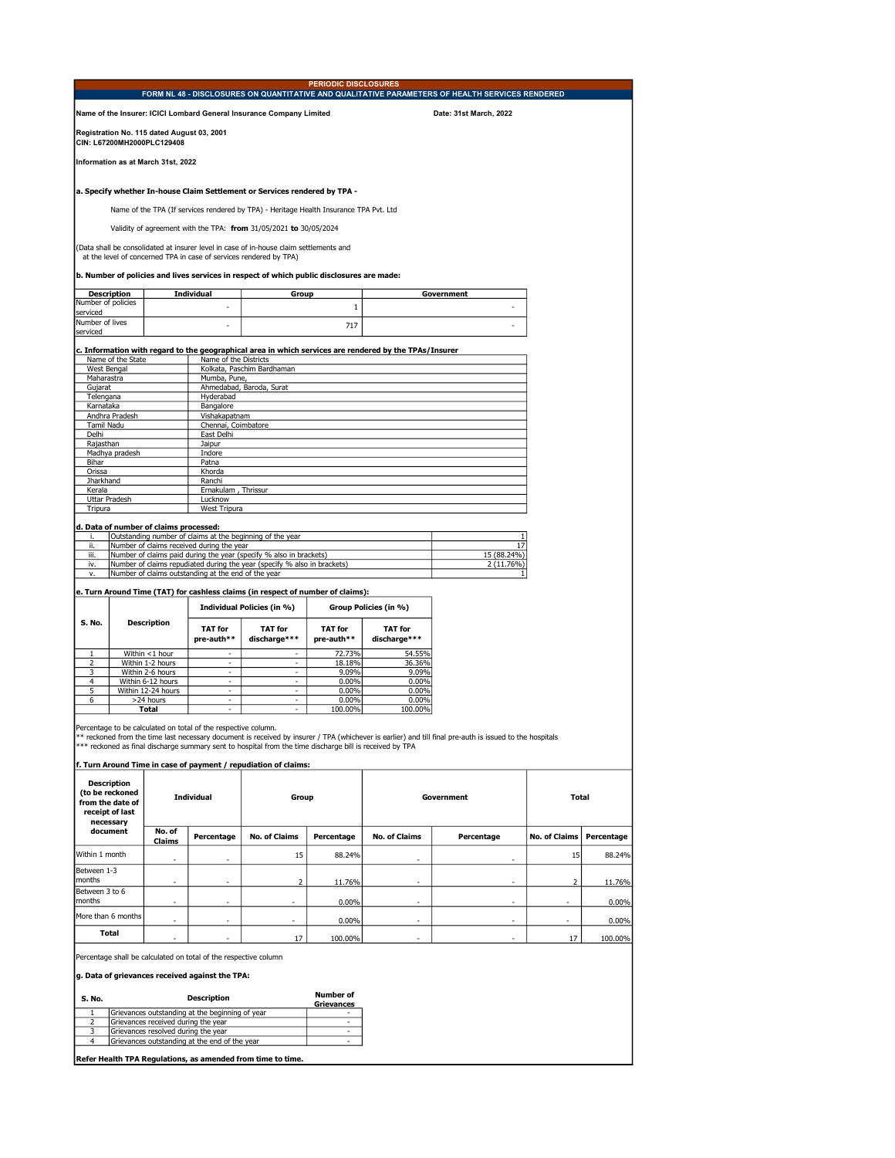|                             |                                                                              |                                                                          |                                                                |                                                                                                                                                                 | <b>PERIODIC DISCLOSURES</b> |                                                                                                        | FORM NL 48 - DISCLOSURES ON QUANTITATIVE AND QUALITATIVE PARAMETERS OF HEALTH SERVICES RENDERED                                                          |                      |            |
|-----------------------------|------------------------------------------------------------------------------|--------------------------------------------------------------------------|----------------------------------------------------------------|-----------------------------------------------------------------------------------------------------------------------------------------------------------------|-----------------------------|--------------------------------------------------------------------------------------------------------|----------------------------------------------------------------------------------------------------------------------------------------------------------|----------------------|------------|
|                             |                                                                              |                                                                          |                                                                | Name of the Insurer: ICICI Lombard General Insurance Company Limited                                                                                            |                             |                                                                                                        | Date: 31st March, 2022                                                                                                                                   |                      |            |
|                             |                                                                              | Registration No. 115 dated August 03, 2001<br>CIN: L67200MH2000PLC129408 |                                                                |                                                                                                                                                                 |                             |                                                                                                        |                                                                                                                                                          |                      |            |
|                             |                                                                              | Information as at March 31st, 2022                                       |                                                                |                                                                                                                                                                 |                             |                                                                                                        |                                                                                                                                                          |                      |            |
|                             |                                                                              |                                                                          |                                                                | a. Specify whether In-house Claim Settlement or Services rendered by TPA -                                                                                      |                             |                                                                                                        |                                                                                                                                                          |                      |            |
|                             |                                                                              |                                                                          |                                                                | Name of the TPA (If services rendered by TPA) - Heritage Health Insurance TPA Pvt. Ltd                                                                          |                             |                                                                                                        |                                                                                                                                                          |                      |            |
|                             |                                                                              |                                                                          |                                                                | Validity of agreement with the TPA: from 31/05/2021 to 30/05/2024                                                                                               |                             |                                                                                                        |                                                                                                                                                          |                      |            |
|                             |                                                                              |                                                                          |                                                                | (Data shall be consolidated at insurer level in case of in-house claim settlements and                                                                          |                             |                                                                                                        |                                                                                                                                                          |                      |            |
|                             |                                                                              |                                                                          |                                                                | at the level of concerned TPA in case of services rendered by TPA)<br>b. Number of policies and lives services in respect of which public disclosures are made: |                             |                                                                                                        |                                                                                                                                                          |                      |            |
|                             | <b>Description</b>                                                           |                                                                          | Individual                                                     | Group                                                                                                                                                           |                             |                                                                                                        | Government                                                                                                                                               |                      |            |
| Number of policies          |                                                                              |                                                                          |                                                                |                                                                                                                                                                 | $\,1\,$                     |                                                                                                        |                                                                                                                                                          |                      |            |
| serviced<br>Number of lives |                                                                              |                                                                          |                                                                |                                                                                                                                                                 | 717                         |                                                                                                        |                                                                                                                                                          |                      |            |
| serviced                    |                                                                              |                                                                          |                                                                |                                                                                                                                                                 |                             |                                                                                                        |                                                                                                                                                          |                      |            |
| West Bengal                 | Name of the State                                                            |                                                                          | Name of the Districts                                          | Kolkata, Paschim Bardhaman                                                                                                                                      |                             | c. Information with regard to the geographical area in which services are rendered by the TPAs/Insurer |                                                                                                                                                          |                      |            |
| Maharastra                  |                                                                              |                                                                          | Mumba, Pune,                                                   |                                                                                                                                                                 |                             |                                                                                                        |                                                                                                                                                          |                      |            |
| Gujarat<br>Telengana        |                                                                              |                                                                          | Hyderabad                                                      | Ahmedabad, Baroda, Surat                                                                                                                                        |                             |                                                                                                        |                                                                                                                                                          |                      |            |
| Karnataka                   |                                                                              |                                                                          | Bangalore                                                      |                                                                                                                                                                 |                             |                                                                                                        |                                                                                                                                                          |                      |            |
| Tamil Nadu                  | Andhra Pradesh                                                               |                                                                          | Vishakapatnam<br>Chennai, Coimbatore                           |                                                                                                                                                                 |                             |                                                                                                        |                                                                                                                                                          |                      |            |
| Delhi                       |                                                                              |                                                                          | East Delhi                                                     |                                                                                                                                                                 |                             |                                                                                                        |                                                                                                                                                          |                      |            |
| Rajasthan                   |                                                                              |                                                                          | Jaipur                                                         |                                                                                                                                                                 |                             |                                                                                                        |                                                                                                                                                          |                      |            |
| Bihar                       | Madhya pradesh                                                               |                                                                          | Indore<br>Patna                                                |                                                                                                                                                                 |                             |                                                                                                        |                                                                                                                                                          |                      |            |
| Orissa                      |                                                                              |                                                                          | Khorda                                                         |                                                                                                                                                                 |                             |                                                                                                        |                                                                                                                                                          |                      |            |
| Jharkhand                   |                                                                              |                                                                          | Ranchi                                                         |                                                                                                                                                                 |                             |                                                                                                        |                                                                                                                                                          |                      |            |
| Kerala                      | Uttar Pradesh                                                                |                                                                          | Ernakulam, Thrissur<br>Lucknow                                 |                                                                                                                                                                 |                             |                                                                                                        |                                                                                                                                                          |                      |            |
| Tripura                     |                                                                              |                                                                          | West Tripura                                                   |                                                                                                                                                                 |                             |                                                                                                        |                                                                                                                                                          |                      |            |
|                             |                                                                              |                                                                          |                                                                |                                                                                                                                                                 |                             |                                                                                                        |                                                                                                                                                          |                      |            |
| j.                          |                                                                              | d. Data of number of claims processed:                                   |                                                                | Outstanding number of claims at the beginning of the year                                                                                                       |                             |                                                                                                        |                                                                                                                                                          |                      |            |
| ii.                         |                                                                              |                                                                          | Number of claims received during the year                      |                                                                                                                                                                 |                             |                                                                                                        | 17                                                                                                                                                       |                      |            |
| iii.<br>i٧.                 |                                                                              |                                                                          |                                                                | Number of claims paid during the year (specify % also in brackets)<br>Number of claims repudiated during the year (specify % also in brackets)                  |                             |                                                                                                        | 15 (88.24%)<br>2 (11.76%)                                                                                                                                |                      |            |
| ν.                          |                                                                              |                                                                          | Number of claims outstanding at the end of the year            |                                                                                                                                                                 |                             |                                                                                                        |                                                                                                                                                          |                      |            |
|                             |                                                                              |                                                                          |                                                                | e. Turn Around Time (TAT) for cashless claims (in respect of number of claims):                                                                                 |                             |                                                                                                        |                                                                                                                                                          |                      |            |
|                             |                                                                              |                                                                          |                                                                | Individual Policies (in %)                                                                                                                                      |                             | Group Policies (in %)                                                                                  |                                                                                                                                                          |                      |            |
| S. No.                      |                                                                              | <b>Description</b>                                                       | <b>TAT for</b><br>pre-auth**                                   | <b>TAT for</b><br>discharge***                                                                                                                                  | TAT for<br>pre-auth**       | TAT for<br>discharge***                                                                                |                                                                                                                                                          |                      |            |
| $1\,$                       |                                                                              | Within <1 hour                                                           | ۰                                                              |                                                                                                                                                                 | 72.73%                      | 54.55%                                                                                                 |                                                                                                                                                          |                      |            |
| 2                           |                                                                              | Within 1-2 hours                                                         | $\overline{\phantom{a}}$<br>$\overline{\phantom{a}}$           | $\overline{\phantom{a}}$<br>$\overline{\phantom{a}}$                                                                                                            | 18.18%                      | 36.36%                                                                                                 |                                                                                                                                                          |                      |            |
| 3<br>$\overline{4}$         |                                                                              | Within 2-6 hours<br>Within 6-12 hours                                    | $\mathcal{L}_{\mathcal{A}}$                                    | $\mathcal{L}_{\mathcal{A}}$                                                                                                                                     | 9.09%<br>0.00%              | 9.09%<br>0.00%                                                                                         |                                                                                                                                                          |                      |            |
| 5                           |                                                                              | Within 12-24 hours                                                       | ä,                                                             | ä,                                                                                                                                                              | 0.00%                       | 0.00%                                                                                                  |                                                                                                                                                          |                      |            |
| 6                           |                                                                              | >24 hours<br>Total                                                       | $\overline{\phantom{a}}$<br>÷,                                 | $\bar{a}$<br>÷,                                                                                                                                                 | $0.00\%$<br>100.00%         | $0.00\%$<br>100.00%                                                                                    |                                                                                                                                                          |                      |            |
|                             |                                                                              |                                                                          | Percentage to be calculated on total of the respective column. | *** reckoned as final discharge summary sent to hospital from the time discharge bill is received by TPA                                                        |                             |                                                                                                        | ** reckoned from the time last necessary document is received by insurer / TPA (whichever is earlier) and till final pre-auth is issued to the hospitals |                      |            |
|                             |                                                                              |                                                                          |                                                                | f. Turn Around Time in case of payment / repudiation of claims:                                                                                                 |                             |                                                                                                        |                                                                                                                                                          |                      |            |
|                             | <b>Description</b><br>(to be reckoned<br>from the date of<br>receipt of last |                                                                          | <b>Individual</b>                                              | Group                                                                                                                                                           |                             |                                                                                                        | Government                                                                                                                                               | <b>Total</b>         |            |
|                             | necessary<br>document                                                        | No. of                                                                   | Percentage                                                     | <b>No. of Claims</b>                                                                                                                                            | Percentage                  | <b>No. of Claims</b>                                                                                   | Percentage                                                                                                                                               | <b>No. of Claims</b> | Percentage |
| Within 1 month              |                                                                              | <b>Claims</b>                                                            |                                                                | 15                                                                                                                                                              | 88.24%                      |                                                                                                        |                                                                                                                                                          | 15                   | 88.24%     |
| Between 1-3                 |                                                                              |                                                                          |                                                                |                                                                                                                                                                 |                             |                                                                                                        |                                                                                                                                                          |                      |            |
| months                      |                                                                              |                                                                          |                                                                | 2                                                                                                                                                               | 11.76%                      |                                                                                                        |                                                                                                                                                          | 2                    | 11.76%     |
| Between 3 to 6<br>months    |                                                                              |                                                                          |                                                                |                                                                                                                                                                 | 0.00%                       |                                                                                                        |                                                                                                                                                          |                      | $0.00\%$   |
|                             | More than 6 months                                                           |                                                                          |                                                                |                                                                                                                                                                 | 0.00%                       |                                                                                                        |                                                                                                                                                          |                      | $0.00\%$   |
|                             | Total                                                                        |                                                                          |                                                                | 17                                                                                                                                                              | 100,00%                     |                                                                                                        |                                                                                                                                                          | 17                   | 100,00%    |

-  $17$  100.00% - 17 100.00%

Percentage shall be calculated on total of the respective column

g. Data of grievances received against the TPA: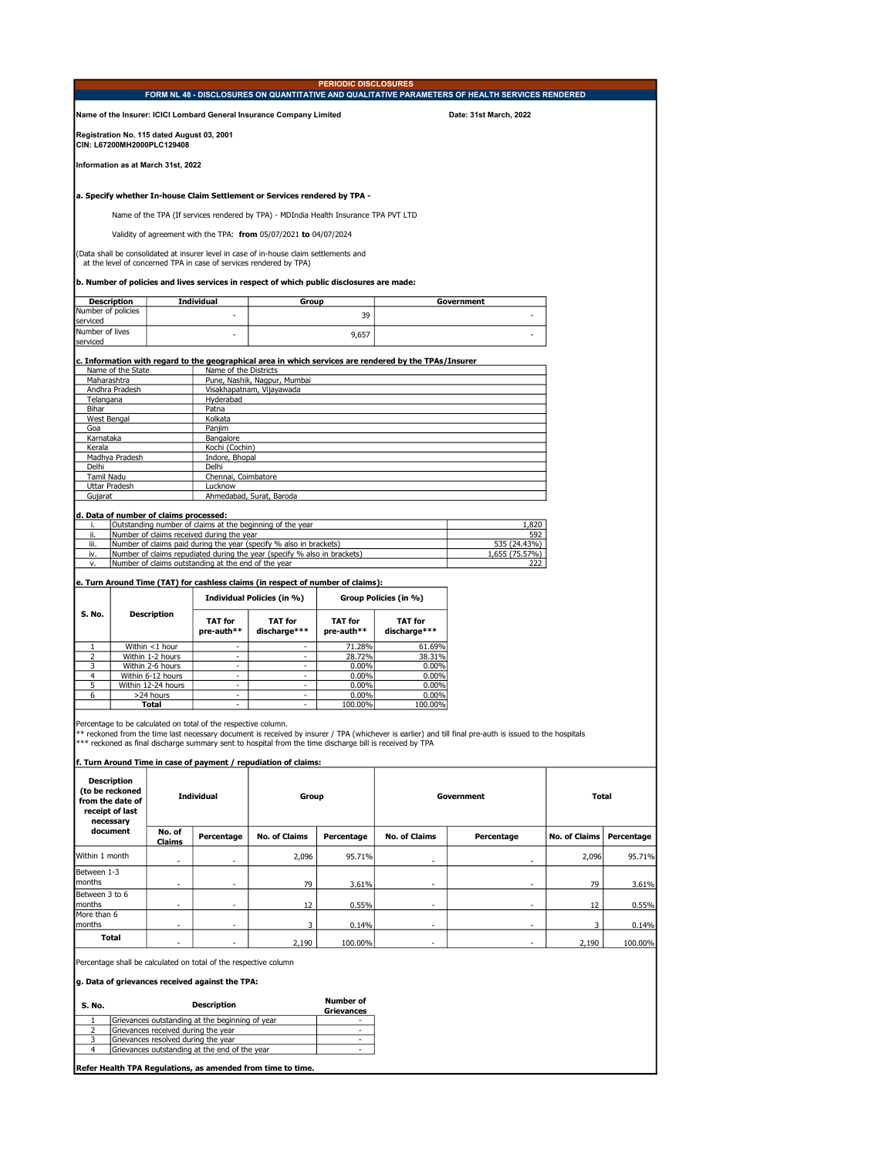|                                            |  |                                                     | <b>PERIODIC DISCLOSURES</b>                                                                            |  |                        |
|--------------------------------------------|--|-----------------------------------------------------|--------------------------------------------------------------------------------------------------------|--|------------------------|
|                                            |  |                                                     | FORM NL 48 - DISCLOSURES ON QUANTITATIVE AND QUALITATIVE PARAMETERS OF HEALTH SERVICES RENDERED        |  |                        |
|                                            |  |                                                     | Name of the Insurer: ICICI Lombard General Insurance Company Limited                                   |  | Date: 31st March, 2022 |
| Registration No. 115 dated August 03, 2001 |  |                                                     |                                                                                                        |  |                        |
| CIN: L67200MH2000PLC129408                 |  |                                                     |                                                                                                        |  |                        |
| Information as at March 31st, 2022         |  |                                                     |                                                                                                        |  |                        |
|                                            |  |                                                     | a. Specify whether In-house Claim Settlement or Services rendered by TPA -                             |  |                        |
|                                            |  |                                                     | Name of the TPA (If services rendered by TPA) - MDIndia Health Insurance TPA PVT LTD                   |  |                        |
|                                            |  |                                                     | Validity of agreement with the TPA: from 05/07/2021 to 04/07/2024                                      |  |                        |
|                                            |  |                                                     | (Data shall be consolidated at insurer level in case of in-house claim settlements and                 |  |                        |
|                                            |  |                                                     | at the level of concerned TPA in case of services rendered by TPA)                                     |  |                        |
|                                            |  |                                                     |                                                                                                        |  |                        |
|                                            |  |                                                     | b. Number of policies and lives services in respect of which public disclosures are made:              |  |                        |
|                                            |  |                                                     |                                                                                                        |  |                        |
| <b>Description</b><br>Number of policies   |  | <b>Individual</b>                                   | Group                                                                                                  |  | Government             |
| serviced                                   |  | ٠                                                   | 39                                                                                                     |  |                        |
| Number of lives                            |  |                                                     |                                                                                                        |  |                        |
| serviced                                   |  |                                                     | 9,657                                                                                                  |  |                        |
|                                            |  |                                                     |                                                                                                        |  |                        |
|                                            |  |                                                     | c. Information with regard to the geographical area in which services are rendered by the TPAs/Insurer |  |                        |
| Name of the State                          |  | Name of the Districts                               |                                                                                                        |  |                        |
| Maharashtra<br>Andhra Pradesh              |  |                                                     | Pune, Nashik, Nagpur, Mumbai<br>Visakhapatnam, Vijayawada                                              |  |                        |
| Telangana                                  |  | Hyderabad                                           |                                                                                                        |  |                        |
| Bihar<br>Patna                             |  |                                                     |                                                                                                        |  |                        |
| West Bengal<br>Kolkata                     |  |                                                     |                                                                                                        |  |                        |
| Goa<br>Paniim                              |  |                                                     |                                                                                                        |  |                        |
| Karnataka<br>Bangalore                     |  |                                                     |                                                                                                        |  |                        |
| Kerala<br>Kochi (Cochin)                   |  |                                                     |                                                                                                        |  |                        |
| Madhya Pradesh<br>Indore, Bhopal           |  |                                                     |                                                                                                        |  |                        |
| Delhi<br>Delhi                             |  |                                                     |                                                                                                        |  |                        |
| Tamil Nadu<br>Chennai, Coimbatore          |  |                                                     |                                                                                                        |  |                        |
| Uttar Pradesh<br>Lucknow                   |  |                                                     |                                                                                                        |  |                        |
| Ahmedabad, Surat, Baroda<br>Gujarat        |  |                                                     |                                                                                                        |  |                        |
|                                            |  |                                                     |                                                                                                        |  |                        |
| d. Data of number of claims processed:     |  |                                                     |                                                                                                        |  |                        |
| i.                                         |  |                                                     | Outstanding number of claims at the beginning of the year                                              |  | 1,820                  |
| ii.                                        |  | Number of claims received during the year           |                                                                                                        |  | 592                    |
| iii.                                       |  |                                                     | Number of claims paid during the year (specify % also in brackets)                                     |  | 535 (24.43%)           |
| iv.                                        |  |                                                     | Number of claims repudiated during the year (specify % also in brackets)                               |  | 1,655 (75.57%)         |
| v.                                         |  | Number of claims outstanding at the end of the year |                                                                                                        |  | 222                    |
|                                            |  |                                                     |                                                                                                        |  |                        |

## e. Turn Around Time (TAT) for cashless claims (in respect of number of claims):

|        |                    |                              | Individual Policies (in %)     | Group Policies (in %)        |                                |  |
|--------|--------------------|------------------------------|--------------------------------|------------------------------|--------------------------------|--|
| S. No. | <b>Description</b> | <b>TAT for</b><br>pre-auth** | <b>TAT for</b><br>discharge*** | <b>TAT for</b><br>pre-auth** | <b>TAT for</b><br>discharge*** |  |
|        | Within <1 hour     |                              | -                              | 71.28%                       | 61.69%                         |  |
|        | Within 1-2 hours   | -                            | ٠                              | 28.72%                       | 38.31%                         |  |
|        | Within 2-6 hours   |                              | -                              | $0.00\%$                     | 0.00%                          |  |
|        | Within 6-12 hours  |                              | -                              | 0.00%                        | 0.00%                          |  |
|        | Within 12-24 hours |                              |                                | 0.00%                        | 0.00%                          |  |
|        | >24 hours          |                              |                                | $0.00\%$                     | 0.00%                          |  |
|        | Total              | -                            | -                              | 100.00%                      | 100.00%                        |  |

Percentage to be calculated on total of the respective column.<br>\*\* reckoned from the time last necessary document is received by insurer / TPA (whichever is earlier) and till final pre-auth is issued to the hospitals<br>\*\*\* re

f. Turn Around Time in case of payment / repudiation of claims:

| <b>Description</b><br>(to be reckoned<br>from the date of<br>receipt of last<br>necessary |                  | <b>Individual</b>        | Group                |            | Government               |                          | <b>Total</b>         |            |
|-------------------------------------------------------------------------------------------|------------------|--------------------------|----------------------|------------|--------------------------|--------------------------|----------------------|------------|
| document                                                                                  | No. of<br>Claims | Percentage               | <b>No. of Claims</b> | Percentage | <b>No. of Claims</b>     | Percentage               | <b>No. of Claims</b> | Percentage |
| Within 1 month                                                                            | ٠                | $\overline{\phantom{a}}$ | 2,096                | 95.71%     | $\overline{\phantom{a}}$ |                          | 2,096                | 95.71%     |
| Between 1-3<br>months                                                                     | -                | -                        | 79                   | 3.61%      | -                        |                          | 79                   | 3.61%      |
| Between 3 to 6<br>months                                                                  | ٠                | $\overline{\phantom{a}}$ | 12                   | 0.55%      | $\overline{\phantom{a}}$ |                          | 12                   | 0.55%      |
| More than 6<br>months                                                                     | ٠                | $\overline{\phantom{a}}$ | 3                    | 0.14%      | $\overline{\phantom{a}}$ | $\overline{\phantom{a}}$ |                      | 0.14%      |
| <b>Total</b>                                                                              | -                | $\overline{\phantom{a}}$ | 2,190                | 100.00%    |                          |                          | 2,190                | 100.00%    |

Percentage shall be calculated on total of the respective column

## g. Data of grievances received against the TPA:

| S. No. | <b>Description</b>                              | <b>Number of</b><br><b>Grievances</b> |
|--------|-------------------------------------------------|---------------------------------------|
|        | Grievances outstanding at the beginning of year |                                       |
|        | Grievances received during the year             |                                       |
| ঽ      | Grievances resolved during the year             |                                       |
|        | Grievances outstanding at the end of the vear   |                                       |
|        |                                                 |                                       |